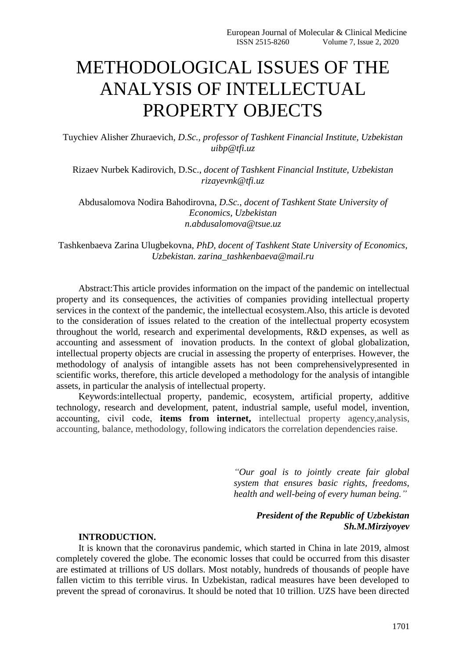# METHODOLOGICAL ISSUES OF THE ANALYSIS OF INTELLECTUAL PROPERTY OBJECTS

Tuychiev Alisher Zhuraevich, *D.Sc., professor of Tashkent Financial Institute, Uzbekistan uibp@tfi.uz*

Rizaev Nurbek Kadirovich, D.Sc., *docent of Tashkent Financial Institute, Uzbekistan rizayevnk@tfi.uz*

Abdusalomova Nodira Bahodirovna, *D.Sc., docent of Tashkent State University of Economics, Uzbekistan n.abdusalomova@tsue.uz*

Tashkenbaeva Zarina Ulugbekovna, *PhD, docent of Tashkent State University of Economics, Uzbekistan. zarina\_tashkenbaeva@mail.ru*

Abstract:This article provides information on the impact of the pandemic on intellectual property and its consequences, the activities of companies providing intellectual property services in the context of the pandemic, the intellectual ecosystem.Also, this article is devoted to the consideration of issues related to the creation of the intellectual property ecosystem throughout the world, research and experimental developments, R&D expenses, as well as accounting and assessment of inovation products. In the context of global globalization, intellectual property objects are crucial in assessing the property of enterprises. However, the methodology of analysis of intangible assets has not been comprehensivelypresented in scientific works, therefore, this article developed a methodology for the analysis of intangible assets, in particular the analysis of intellectual property.

Keywords:intellectual property, pandemic, ecosystem, artificial property, additive technology, research and development, patent, industrial sample, useful model, invention, accounting, сivil сode, **items from internet,** intellectual property agency,analysis, accounting, balance, methodology, following indicators the correlation dependencies raise.

> *"Our goal is to jointly create fair global system that ensures basic rights, freedoms, health and well-being of every human being."*

## *President of the Republic of Uzbekistan Sh.M.Mirziyoyev*

## **INTRODUCTION.**

It is known that the coronavirus pandemic, which started in China in late 2019, almost completely covered the globe. The economic losses that could be occurred from this disaster are estimated at trillions of US dollars. Most notably, hundreds of thousands of people have fallen victim to this terrible virus. In Uzbekistan, radical measures have been developed to prevent the spread of coronavirus. It should be noted that 10 trillion. UZS have been directed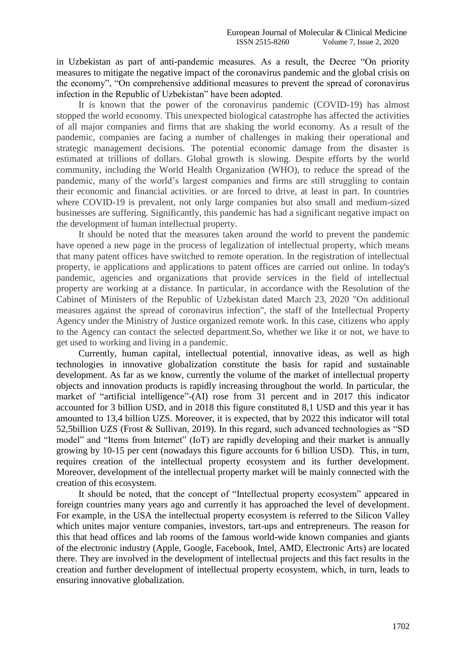in Uzbekistan as part of anti-pandemic measures. As a result, the Decree "On priority measures to mitigate the negative impact of the coronavirus pandemic and the global crisis on the economy", "On comprehensive additional measures to prevent the spread of coronavirus infection in the Republic of Uzbekistan" have been adopted.

It is known that the power of the coronavirus pandemic (COVID-19) has almost stopped the world economy. This unexpected biological catastrophe has affected the activities of all major companies and firms that are shaking the world economy. As a result of the pandemic, companies are facing a number of challenges in making their operational and strategic management decisions. The potential economic damage from the disaster is estimated at trillions of dollars. Global growth is slowing. Despite efforts by the world community, including the World Health Organization (WHO), to reduce the spread of the pandemic, many of the world's largest companies and firms are still struggling to contain their economic and financial activities. or are forced to drive, at least in part. In countries where COVID-19 is prevalent, not only large companies but also small and medium-sized businesses are suffering. Significantly, this pandemic has had a significant negative impact on the development of human intellectual property.

It should be noted that the measures taken around the world to prevent the pandemic have opened a new page in the process of legalization of intellectual property, which means that many patent offices have switched to remote operation. In the registration of intellectual property, ie applications and applications to patent offices are carried out online. In today's pandemic, agencies and organizations that provide services in the field of intellectual property are working at a distance. In particular, in accordance with the Resolution of the Cabinet of Ministers of the Republic of Uzbekistan dated March 23, 2020 "On additional measures against the spread of coronavirus infection", the staff of the Intellectual Property Agency under the Ministry of Justice organized remote work. In this case, citizens who apply to the Agency can contact the selected department.So, whether we like it or not, we have to get used to working and living in a pandemic.

Currently, human capital, intellectual potential, innovative ideas, as well as high technologies in innovative globalization constitute the basis for rapid and sustainable development. As far as we know, currently the volume of the market of intellectual property objects and innovation products is rapidly increasing throughout the world. In particular, the market of "artificial intelligence"-(AI) rose from 31 percent and in 2017 this indicator accounted for 3 billion USD, and in 2018 this figure constituted 8,1 USD and this year it has amounted to 13,4 billion UZS. Moreover, it is expected, that by 2022 this indicator will total 52,5billion UZS [\(Frost & Sullivan,](http://www.tadviser.ru/index.php/%D0%9A%D0%BE%D0%BC%D0%BF%D0%B0%D0%BD%D0%B8%D1%8F:Frost_%26_Sullivan) 2019). In this regard, such advanced technologies as "SD model" and "Items from Internet" (IoT) are rapidly developing and their market is annually growing by 10-15 per cent (nowadays this figure accounts for 6 billion USD). This, in turn, requires creation of the intellectual property ecosystem and its further development. Moreover, development of the intellectual property market will be mainly connected with the creation of this ecosystem.

It should be noted, that the concept of "Intellectual property ecosystem" appeared in foreign countries many years ago and currently it has approached the level of development. For example, in the USA the intellectual property ecosystem is referred to the Silicon Valley which unites major venture companies, investors, tart-ups and entrepreneurs. The reason for this that head offices and lab rooms of the famous world-wide known companies and giants of the electronic industry (Apple, Google, Facebook, Intel, AMD, Electronic Arts) are located there. They are involved in the development of intellectual projects and this fact results in the creation and further development of intellectual property ecosystem, which, in turn, leads to ensuring innovative globalization.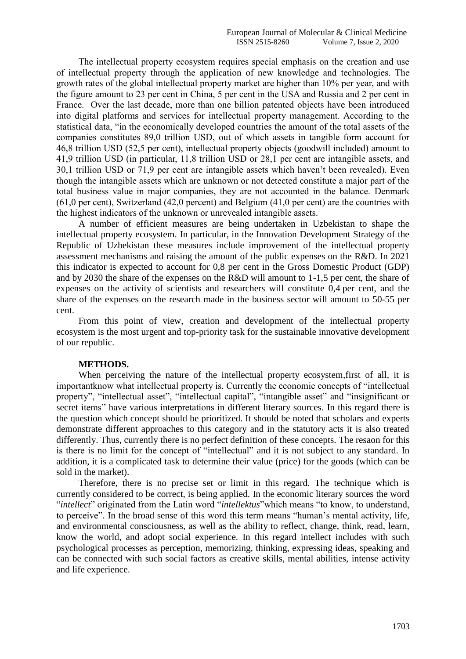The intellectual property ecosystem requires special emphasis on the creation and use of intellectual property through the application of new knowledge and technologies. The growth rates of the global intellectual property market are higher than 10% per year, and with the figure amount to 23 per cent in China, 5 per cent in the USA and Russia and 2 per cent in France. Over the last decade, more than one billion patented objects have been introduced into digital platforms and services for intellectual property management. According to the statistical data, "in the economically developed countries the amount of the total assets of the companies constitutes 89,0 trillion USD, out of which assets in tangible form account for 46,8 trillion USD (52,5 per cent), intellectual property objects (goodwill included) amount to 41,9 trillion USD (in particular, 11,8 trillion USD or 28,1 per cent are intangible assets, and 30,1 trillion USD or 71,9 per cent are intangible assets which haven't been revealed). Even though the intangible assets which are unknown or not detected constitute a major part of the total business value in major companies, they are not accounted in the balance. Denmark (61,0 per cent), Switzerland (42,0 percent) and Belgium (41,0 per cent) are the countries with the highest indicators of the unknown or unrevealed intangible assets.

A number of efficient measures are being undertaken in Uzbekistan to shape the intellectual property ecosystem. In particular, in the Innovation Development Strategy of the Republic of Uzbekistan these measures include improvement of the intellectual property assessment mechanisms and raising the amount of the public expenses on the R&D. In 2021 this indicator is expected to account for 0,8 per cent in the Gross Domestic Product (GDP) and by 2030 the share of the expenses on the R&D will amount to 1-1,5 per cent, the share of expenses on the activity of scientists and researchers will constitute 0,4 per cent, and the share of the expenses on the research made in the business sector will amount to 50-55 per cent.

From this point of view, creation and development of the intellectual property ecosystem is the most urgent and top-priority task for the sustainable innovative development of our republic.

### **METHODS.**

When perceiving the nature of the intellectual property ecosystem,first of all, it is importantknow what intellectual property is. Currently the economic concepts of "intellectual property", "intellectual asset", "intellectual capital", "intangible asset" and "insignificant or secret items" have various interpretations in different literary sources. In this regard there is the question which concept should be prioritized. It should be noted that scholars and experts demonstrate different approaches to this category and in the statutory acts it is also treated differently. Thus, currently there is no perfect definition of these concepts. The resaon for this is there is no limit for the concept of "intellectual" and it is not subject to any standard. In addition, it is a complicated task to determine their value (price) for the goods (which can be sold in the market).

Therefore, there is no precise set or limit in this regard. The technique which is currently considered to be correct, is being applied. In the economic literary sources the word "*intellect*" originated from the Latin word "*intellektus*"which means "to know, to understand, to perceive". In the broad sense of this word this term means "human's mental activity, life, and environmental consciousness, as well as the ability to reflect, change, think, read, learn, know the world, and adopt social experience. In this regard intellect includes with such psychological processes as perception, memorizing, thinking, expressing ideas, speaking and can be connected with such social factors as creative skills, mental abilities, intense activity and life experience.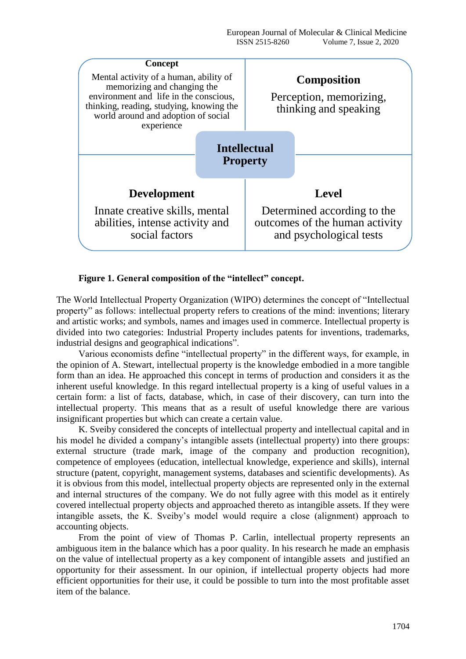

## **Figure 1. General composition of the "intellect" concept.**

The World Intellectual Property Organization (WIPO) determines the concept of "Intellectual property" as follows: intellectual property refers to creations of the mind: inventions; literary and artistic works; and symbols, names and images used in commerce. Intellectual property is divided into two categories: Industrial Property includes patents for inventions, trademarks, industrial designs and geographical indications".

Various economists define "intellectual property" in the different ways, for example, in the opinion of A. Stewart, intellectual property is the knowledge embodied in a more tangible form than an idea. He approached this concept in terms of production and considers it as the inherent useful knowledge. In this regard intellectual property is a king of useful values in a certain form: a list of facts, database, which, in case of their discovery, can turn into the intellectual property. This means that as a result of useful knowledge there are various insignificant properties but which can create a certain value.

K. Sveiby considered the concepts of intellectual property and intellectual capital and in his model he divided a company's intangible assets (intellectual property) into there groups: external structure (trade mark, image of the company and production recognition), competence of employees (education, intellectual knowledge, experience and skills), internal structure (patent, copyright, management systems, databases and scientific developments). As it is obvious from this model, intellectual property objects are represented only in the external and internal structures of the company. We do not fully agree with this model as it entirely covered intellectual property objects and approached thereto as intangible assets. If they were intangible assets, the K. Sveiby's model would require a close (alignment) approach to accounting objects.

From the point of view of Thomas P. Carlin, intellectual property represents an ambiguous item in the balance which has a poor quality. In his research he made an emphasis on the value of intellectual property as a key component of intangible assets and justified an opportunity for their assessment. In our opinion, if intellectual property objects had more efficient opportunities for their use, it could be possible to turn into the most profitable asset item of the balance.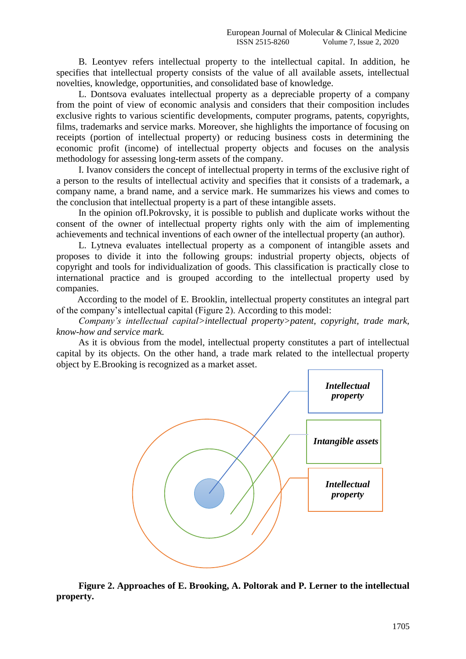B. Leontyev refers intellectual property to the intellectual capital. In addition, he specifies that intellectual property consists of the value of all available assets, intellectual novelties, knowledge, opportunities, and consolidated base of knowledge.

L. Dontsova evaluates intellectual property as a depreciable property of a company from the point of view of economic analysis and considers that their composition includes exclusive rights to various scientific developments, computer programs, patents, copyrights, films, trademarks and service marks. Moreover, she highlights the importance of focusing on receipts (portion of intellectual property) or reducing business costs in determining the economic profit (income) of intellectual property objects and focuses on the analysis methodology for assessing long-term assets of the company.

I. Ivanov considers the concept of intellectual property in terms of the exclusive right of a person to the results of intellectual activity and specifies that it consists of a trademark, a company name, a brand name, and a service mark. He summarizes his views and comes to the conclusion that intellectual property is a part of these intangible assets.

In the opinion ofI.Pokrovsky, it is possible to publish and duplicate works without the consent of the owner of intellectual property rights only with the aim of implementing achievements and technical inventions of each owner of the intellectual property (an author).

L. Lytneva evaluates intellectual property as a component of intangible assets and proposes to divide it into the following groups: industrial property objects, objects of copyright and tools for individualization of goods. This classification is practically close to international practice and is grouped according to the intellectual property used by companies.

According to the model of E. Brooklin, intellectual property constitutes an integral part of the company's intellectual capital (Figure 2). According to this model:

*Company's intellectual capital>intellectual property>patent, copyright, trade mark, know-how and service mark.*

As it is obvious from the model, intellectual property constitutes a part of intellectual capital by its objects. On the other hand, a trade mark related to the intellectual property object by E.Brooking is recognized as a market asset.



**Figure 2. Approaches of E. Brooking, A. Poltorak and P. Lerner to the intellectual property.**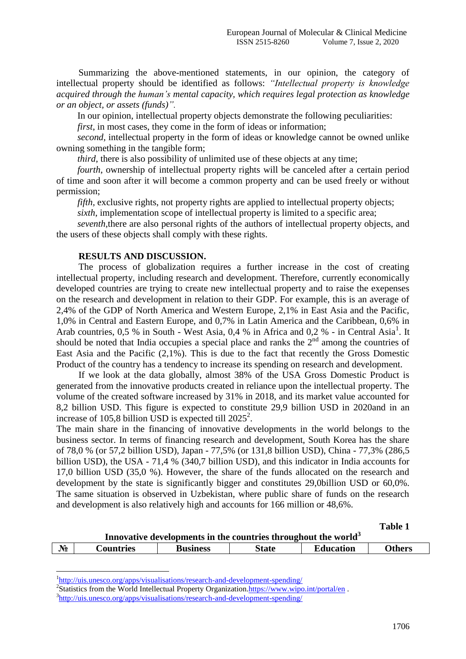Summarizing the above-mentioned statements, in our opinion, the category of intellectual property should be identified as follows: *"Intellectual property is knowledge acquired through the human's mental capacity, which requires legal protection as knowledge or an object, or assets (funds)".*

In our opinion, intellectual property objects demonstrate the following peculiarities:

*first*, in most cases, they come in the form of ideas or information;

*second*, intellectual property in the form of ideas or knowledge cannot be owned unlike owning something in the tangible form;

*third*, there is also possibility of unlimited use of these objects at any time;

*fourth*, ownership of intellectual property rights will be canceled after a certain period of time and soon after it will become a common property and can be used freely or without permission;

*fifth*, exclusive rights, not property rights are applied to intellectual property objects;

*sixth*, implementation scope of intellectual property is limited to a specific area;

*seventh,*there are also personal rights of the authors of intellectual property objects, and the users of these objects shall comply with these rights.

## **RESULTS AND DISCUSSION.**

The process of globalization requires a further increase in the cost of creating intellectual property, including research and development. Therefore, currently economically developed countries are trying to create new intellectual property and to raise the exepenses on the research and development in relation to their GDP. For example, this is an average of 2,4% of the GDP of North America and Western Europe, 2,1% in East Asia and the Pacific, 1,0% in Central and Eastern Europe, and 0,7% in Latin America and the Caribbean, 0,6% in Arab countries,  $0.5 %$  in South - West Asia,  $0.4 %$  in Africa and  $0.2 %$  - in Central Asia<sup>1</sup>. It should be noted that India occupies a special place and ranks the  $2<sup>nd</sup>$  among the countries of East Asia and the Pacific (2,1%). This is due to the fact that recently the Gross Domestic Product of the country has a tendency to increase its spending on research and development.

If we look at the data globally, almost 38% of the USA Gross Domestic Product is generated from the innovative products created in reliance upon the intellectual property. The volume of the created software increased by 31% in 2018, and its market value accounted for 8,2 billion USD. This figure is expected to constitute 29,9 billion USD in 2020and in an increase of 105,8 billion USD is expected till  $2025^2$ .

The main share in the financing of innovative developments in the world belongs to the business sector. In terms of financing research and development, South Korea has the share of 78,0 % (or 57,2 billion USD), Japan - 77,5% (or 131,8 billion USD), China - 77,3% (286,5 billion USD), the USA - 71,4 % (340,7 billion USD), and this indicator in India accounts for 17,0 billion USD (35,0 %). However, the share of the funds allocated on the research and development by the state is significantly bigger and constitutes 29,0billion USD or 60,0%. The same situation is observed in Uzbekistan, where public share of funds on the research and development is also relatively high and accounts for 166 million or 48,6%.

| Innovative developments in the countries throughout the world <sup>3</sup> |           |                 |              |                  |               |  |  |  |
|----------------------------------------------------------------------------|-----------|-----------------|--------------|------------------|---------------|--|--|--|
| $N_2$                                                                      | Countries | <b>Business</b> | <b>State</b> | <b>Education</b> | <b>Others</b> |  |  |  |

<sup>1</sup><http://uis.unesco.org/apps/visualisations/research-and-development-spending/>

1

<sup>2</sup>Statistics from the World Intellectual Property Organizatio[n.https://www.wipo.int/portal/en](https://www.wipo.int/portal/en).

<sup>&</sup>lt;sup>3</sup><http://uis.unesco.org/apps/visualisations/research-and-development-spending/>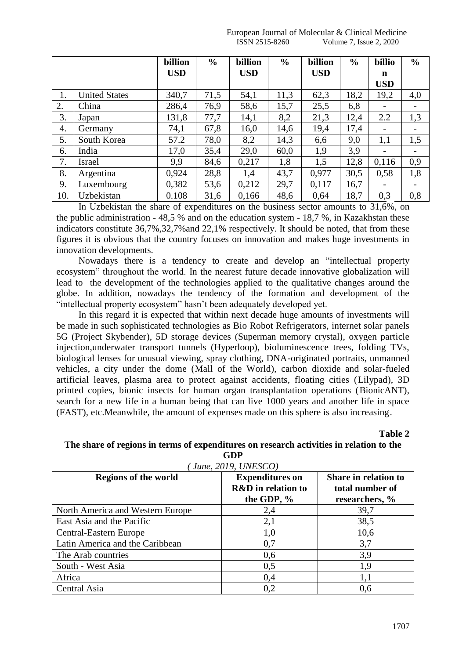|     |                      | billion    | $\frac{0}{0}$ | billion    | $\frac{0}{0}$ | billion    | $\frac{0}{0}$ | billio     | $\frac{0}{0}$ |
|-----|----------------------|------------|---------------|------------|---------------|------------|---------------|------------|---------------|
|     |                      | <b>USD</b> |               | <b>USD</b> |               | <b>USD</b> |               | n          |               |
|     |                      |            |               |            |               |            |               | <b>USD</b> |               |
| 1.  | <b>United States</b> | 340,7      | 71,5          | 54,1       | 11,3          | 62,3       | 18,2          | 19,2       | 4,0           |
| 2.  | China                | 286,4      | 76,9          | 58,6       | 15,7          | 25,5       | 6,8           |            |               |
| 3.  | Japan                | 131,8      | 77,7          | 14,1       | 8,2           | 21,3       | 12,4          | 2.2        | 1,3           |
| 4.  | Germany              | 74,1       | 67,8          | 16,0       | 14,6          | 19,4       | 17,4          |            |               |
| 5.  | South Korea          | 57.2       | 78,0          | 8,2        | 14,3          | 6,6        | 9,0           | 1,1        | 1,5           |
| 6.  | India                | 17,0       | 35,4          | 29,0       | 60,0          | 1,9        | 3,9           |            |               |
| 7.  | Israel               | 9,9        | 84,6          | 0,217      | 1,8           | 1,5        | 12,8          | 0,116      | 0,9           |
| 8.  | Argentina            | 0,924      | 28,8          | 1,4        | 43,7          | 0,977      | 30,5          | 0,58       | 1,8           |
| 9.  | Luxembourg           | 0,382      | 53,6          | 0,212      | 29,7          | 0,117      | 16,7          |            |               |
| 10. | Uzbekistan           | 0.108      | 31,6          | 0,166      | 48,6          | 0.64       | 18,7          | 0,3        | 0,8           |

In Uzbekistan the share of expenditures on the business sector amounts to 31,6%, on the public administration - 48,5 % and on the education system - 18,7 %, in Kazakhstan these indicators constitute 36,7%,32,7%and 22,1% respectively. It should be noted, that from these figures it is obvious that the country focuses on innovation and makes huge investments in innovation developments.

Nowadays there is a tendency to create and develop an "intellectual property ecosystem" throughout the world. In the nearest future decade innovative globalization will lead to the development of the technologies applied to the qualitative changes around the globe. In addition, nowadays the tendency of the formation and development of the "intellectual property ecosystem" hasn't been adequately developed yet.

In this regard it is expected that within next decade huge amounts of investments will be made in such sophisticated technologies as Bio Robot Refrigerators, internet solar panels 5G (Project Skybender), 5D storage devices (Superman memory crystal), oxygen particle injection,underwater transport tunnels [\(Hyperloop\)](https://hi-news.ru/tag/hyperloop), bioluminescence trees, folding TVs, biological lenses for unusual viewing, spray clothing, DNA-originated portraits, unmanned vehicles, a city under the dome (Mall of the World), carbon dioxide and solar-fueled artificial leaves, plasma area to protect against accidents, floating cities (Lilypad), 3D printed copies, bionic insects for human organ transplantation operations (BionicANT), search for a new life in a human being that can live 1000 years and another life in space (FAST), etc.Meanwhile, the amount of expenses made on this sphere is also increasing.

**Table 2**

## **The share of regions in terms of expenditures on research activities in relation to the GDP**

| June, 2019, UNESCO)              |                                                                       |                                                                  |  |  |  |  |  |
|----------------------------------|-----------------------------------------------------------------------|------------------------------------------------------------------|--|--|--|--|--|
| <b>Regions of the world</b>      | <b>Expenditures on</b><br><b>R&amp;D</b> in relation to<br>the GDP, % | <b>Share in relation to</b><br>total number of<br>researchers, % |  |  |  |  |  |
| North America and Western Europe | 2,4                                                                   | 39,7                                                             |  |  |  |  |  |
| East Asia and the Pacific        | 2,1                                                                   | 38,5                                                             |  |  |  |  |  |
| <b>Central-Eastern Europe</b>    | 1,0                                                                   | 10,6                                                             |  |  |  |  |  |
| Latin America and the Caribbean  | 0,7                                                                   | 3,7                                                              |  |  |  |  |  |
| The Arab countries               | 0,6                                                                   | 3,9                                                              |  |  |  |  |  |
| South - West Asia                | 0,5                                                                   | 1,9                                                              |  |  |  |  |  |
| Africa                           | 0,4                                                                   | 1,1                                                              |  |  |  |  |  |
| Central Asia                     | 0,2                                                                   | 0,6                                                              |  |  |  |  |  |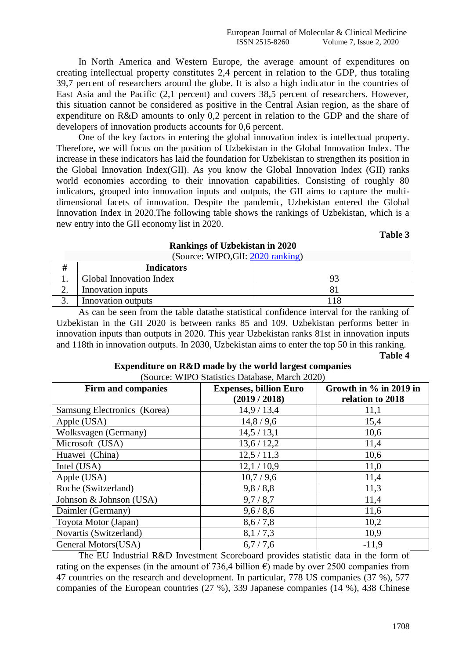In North America and Western Europe, the average amount of expenditures on creating intellectual property constitutes 2,4 percent in relation to the GDP, thus totaling 39,7 percent of researchers around the globe. It is also a high indicator in the countries of East Asia and the Pacific (2,1 percent) and covers 38,5 percent of researchers. However, this situation cannot be considered as positive in the Central Asian region, as the share of expenditure on R&D amounts to only 0,2 percent in relation to the GDP and the share of developers of innovation products accounts for 0,6 percent.

One of the key factors in entering the global innovation index is intellectual property. Therefore, we will focus on the position of Uzbekistan in the Global Innovation Index. The increase in these indicators has laid the foundation for Uzbekistan to strengthen its position in the Global Innovation Index(GII). As you know the Global Innovation Index (GII) ranks world economies according to their innovation capabilities. Consisting of roughly 80 indicators, grouped into innovation inputs and outputs, the GII aims to capture the multidimensional facets of innovation. Despite the pandemic, Uzbekistan entered the Global Innovation Index in 2020.The following table shows the rankings of Uzbekistan, which is a new entry into the GII economy list in 2020.

**Table 3**

#### **Rankings of Uzbekistan in 2020**  $(S<sub>ouroe</sub>: WIPA GII: 2020 rankin<sub>0</sub>)$

|    | <b>Indicators</b>       |  |
|----|-------------------------|--|
|    | Global Innovation Index |  |
| ∠. | Innovation inputs       |  |
|    | Innovation outputs      |  |

As can be seen from the table datathe statistical confidence interval for the ranking of Uzbekistan in the GII 2020 is between ranks 85 and 109. Uzbekistan performs better in innovation inputs than outputs in 2020. This year Uzbekistan ranks 81st in innovation inputs and 118th in innovation outputs. In 2030, Uzbekistan aims to enter the top 50 in this ranking.

**Table 4**

| Firm and companies          | <b>Expenses, billion Euro</b><br>(2019 / 2018) | Growth in $\%$ in 2019 in<br>relation to 2018 |
|-----------------------------|------------------------------------------------|-----------------------------------------------|
| Samsung Electronics (Korea) | 14,9/13,4                                      | 11,1                                          |
| Apple (USA)                 | 14,8/9,6                                       | 15,4                                          |
| Wolksvagen (Germany)        | 14,5/13,1                                      | 10,6                                          |
| Microsoft (USA)             | 13,6/12,2                                      | 11,4                                          |
| Huawei (China)              | 12,5/11,3                                      | 10,6                                          |
| Intel (USA)                 | 12,1/10,9                                      | 11,0                                          |
| Apple (USA)                 | 10,7/9,6                                       | 11,4                                          |
| Roche (Switzerland)         | 9,8/8,8                                        | 11,3                                          |
| Johnson & Johnson (USA)     | 9,7/8,7                                        | 11,4                                          |
| Daimler (Germany)           | 9,6/8,6                                        | 11,6                                          |
| Toyota Motor (Japan)        | 8,6/7,8                                        | 10,2                                          |
| Novartis (Switzerland)      | 8,1/7,3                                        | 10,9                                          |
| General Motors(USA)         | 6,7/7,6                                        | $-11,9$                                       |

#### **Expenditure on R&D made by the world largest companies**   $\frac{N}{1000}$   $\frac{N}{1000}$

The EU Industrial R&D Investment Scoreboard provides statistic data in the form of rating on the expenses (in the amount of 736,4 billion  $\epsilon$ ) made by over 2500 companies from 47 countries on the research and development. In particular, 778 US companies (37 %), 577 companies of the European countries (27 %), 339 Japanese companies (14 %), 438 Chinese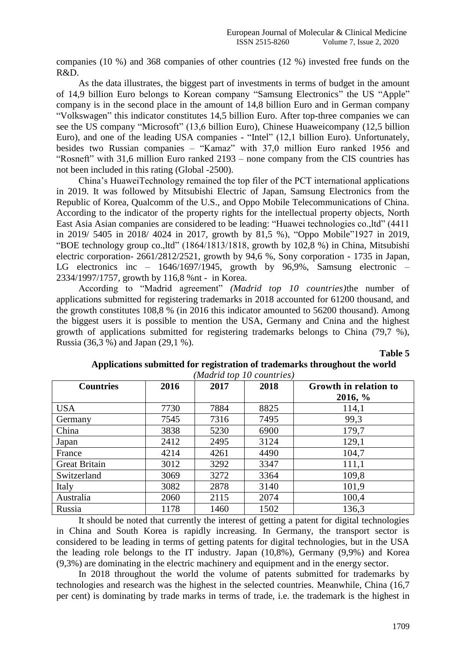companies (10 %) and 368 companies of other countries (12 %) invested free funds on the R&D.

As the data illustrates, the biggest part of investments in terms of budget in the amount of 14,9 billion Euro belongs to Korean company ["Samsung Electronics"](http://www.tadviser.ru/index.php/%D0%9A%D0%BE%D0%BC%D0%BF%D0%B0%D0%BD%D0%B8%D1%8F:Samsung_Electronics) the US ["Apple"](http://www.tadviser.ru/index.php/%D0%9A%D0%BE%D0%BC%D0%BF%D0%B0%D0%BD%D0%B8%D1%8F:Apple) company is in the second place in the amount of 14,8 billion Euro and in German company ["Volkswagen"](http://www.tadviser.ru/index.php/Volkswagen_Group) this indicator constitutes 14,5 billion Euro. After top-three companies we can see the US company ["Microsoft"](http://www.tadviser.ru/index.php/%D0%9A%D0%BE%D0%BC%D0%BF%D0%B0%D0%BD%D0%B8%D1%8F:Microsoft) (13,6 billion Euro), Chinese [Huaweic](http://www.tadviser.ru/index.php/%D0%9A%D0%BE%D0%BC%D0%BF%D0%B0%D0%BD%D0%B8%D1%8F:Huawei)ompany (12,5 billion Euro), and one of the leading USA companies - ["Intel"](http://www.tadviser.ru/index.php/%D0%9A%D0%BE%D0%BC%D0%BF%D0%B0%D0%BD%D0%B8%D1%8F:Intel) (12,1 billion Euro). Unfortunately, besides two Russian companies – "Kamaz" with 37,0 million Euro ranked 1956 and "Rosneft" with 31,6 million Euro ranked 2193 – none company from the CIS countries has not been included in this rating (Global -2500).

China's HuaweiTechnology remained the top filer of the PCT international applications in 2019. It was followed by Mitsubishi Electric of Japan, Samsung Electronics from the Republic of Korea, Qualcomm of the U.S., and Oppo Mobile Telecommunications of China. According to the indicator of the property rights for the intellectual property objects, North East Asia Asian companies are considered to be leading: "Huawei technologies co.,ltd" (4411 in 2019/ 5405 in 2018/ 4024 in 2017, growth by 81,5 %), "Oppo Mobile"1927 in 2019, "BOE technology group co.,ltd" (1864/1813/1818, growth by 102,8 %) in China, Mitsubishi electric corporation- 2661/2812/2521, growth by 94,6 %, Sony corporation - 1735 in Japan, LG electronics inc – 1646/1697/1945, growth by 96,9%, Samsung electronic – 2334/1997/1757, growth by 116,8 %nt - in Korea.

According to "Madrid agreement" *(Madrid top 10 countries)*the number of applications submitted for registering trademarks in 2018 accounted for 61200 thousand, and the growth constitutes 108,8 % (in 2016 this indicator amounted to 56200 thousand). Among the biggest users it is possible to mention the USA, Germany and Cnina and the highest growth of applications submitted for registering trademarks belongs to China (79,7 %), Russia (36,3 %) and Japan (29,1 %).

**Table 5**

| <b>Countries</b>     | 2016 | <i>Muaria top TO Countries</i><br>2017 | 2018 | Growth in relation to |
|----------------------|------|----------------------------------------|------|-----------------------|
|                      |      |                                        |      | $2016, \%$            |
| <b>USA</b>           | 7730 | 7884                                   | 8825 | 114,1                 |
| Germany              | 7545 | 7316                                   | 7495 | 99,3                  |
| China                | 3838 | 5230                                   | 6900 | 179,7                 |
| Japan                | 2412 | 2495                                   | 3124 | 129,1                 |
| France               | 4214 | 4261                                   | 4490 | 104,7                 |
| <b>Great Britain</b> | 3012 | 3292                                   | 3347 | 111,1                 |
| Switzerland          | 3069 | 3272                                   | 3364 | 109,8                 |
| Italy                | 3082 | 2878                                   | 3140 | 101,9                 |
| Australia            | 2060 | 2115                                   | 2074 | 100,4                 |
| Russia               | 1178 | 1460                                   | 1502 | 136,3                 |

## **Applications submitted for registration of trademarks throughout the world**  *(Madrid top 10 countries)*

It should be noted that currently the interest of getting a patent for digital technologies in China and South Korea is rapidly increasing. In Germany, the transport sector is considered to be leading in terms of getting patents for digital technologies, but in the USA the leading role belongs to the IT industry. Japan (10,8%), Germany (9,9%) and Korea (9,3%) are dominating in the electric machinery and equipment and in the energy sector.

In 2018 throughout the world the volume of patents submitted for trademarks by technologies and research was the highest in the selected countries. Meanwhile, China (16,7 per cent) is dominating by trade marks in terms of trade, i.e. the trademark is the highest in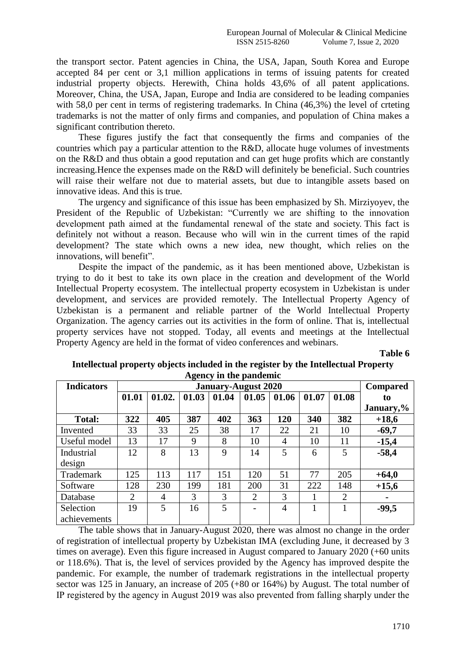the transport sector. Patent agencies in China, the USA, Japan, South Korea and Europe accepted 84 per cent or 3,1 million applications in terms of issuing patents for created industrial property objects. Herewith, China holds 43,6% of all patent applications. Moreover, China, the USA, Japan, Europe and India are considered to be leading companies with 58,0 per cent in terms of registering trademarks. In China (46,3%) the level of crteting trademarks is not the matter of only firms and companies, and population of China makes a significant contribution thereto.

These figures justify the fact that consequently the firms and companies of the countries which pay a particular attention to the R&D, allocate huge volumes of investments on the R&D and thus obtain a good reputation and can get huge profits which are constantly increasing.Hence the expenses made on the R&D will definitely be beneficial. Such countries will raise their welfare not due to material assets, but due to intangible assets based on innovative ideas. And this is true.

The urgency and significance of this issue has been emphasized by Sh. Mirziyoyev, the President of the Republic of Uzbekistan: "Currently we are shifting to the innovation development path aimed at the fundamental renewal of the state and society. This fact is definitely not without a reason. Because who will win in the current times of the rapid development? The state which owns a new idea, new thought, which relies on the innovations, will benefit".

Despite the impact of the pandemic, аs it has been mentioned above, Uzbekistan is trying to do it best to take its own place in the creation and development of the World Intellectual Property ecosystem. The intellectual property ecosystem in Uzbekistan is under development, and services are provided remotely. The Intellectual Property Agency of Uzbekistan is a permanent and reliable partner of the World Intellectual Property Organization. The agency carries out its activities in the form of online. That is, intellectual property services have not stopped. Today, all events and meetings at the Intellectual Property Agency are held in the format of video conferences and webinars.

**Table 6**

| <b>Indicators</b> |       | <b>Compared</b> |       |       |                          |                |       |                |           |
|-------------------|-------|-----------------|-------|-------|--------------------------|----------------|-------|----------------|-----------|
|                   | 01.01 | 01.02.          | 01.03 | 01.04 | 01.05                    | 01.06          | 01.07 | 01.08          | to        |
|                   |       |                 |       |       |                          |                |       |                | January,% |
| <b>Total:</b>     | 322   | 405             | 387   | 402   | 363                      | 120            | 340   | 382            | $+18,6$   |
| Invented          | 33    | 33              | 25    | 38    | 17                       | 22             | 21    | 10             | $-69,7$   |
| Useful model      | 13    | 17              | 9     | 8     | 10                       | 4              | 10    | 11             | $-15,4$   |
| Industrial        | 12    | 8               | 13    | 9     | 14                       | 5              | 6     | 5              | $-58,4$   |
| design            |       |                 |       |       |                          |                |       |                |           |
| Trademark         | 125   | 113             | 117   | 151   | 120                      | 51             | 77    | 205            | $+64,0$   |
| Software          | 128   | 230             | 199   | 181   | 200                      | 31             | 222   | 148            | $+15,6$   |
| Database          | 2     | $\overline{4}$  | 3     | 3     | $\overline{2}$           | 3              |       | $\overline{2}$ |           |
| Selection         | 19    | 5               | 16    | 5     | $\overline{\phantom{0}}$ | $\overline{4}$ |       |                | $-99,5$   |
| achievements      |       |                 |       |       |                          |                |       |                |           |

## **Intellectual property objects included in the register by the Intellectual Property Agency in the pandemic**

The table shows that in January-August 2020, there was almost no change in the order of registration of intellectual property by Uzbekistan IMA (excluding June, it decreased by 3 times on average). Even this figure increased in August compared to January 2020 (+60 units or 118.6%). That is, the level of services provided by the Agency has improved despite the pandemic. For example, the number of trademark registrations in the intellectual property sector was 125 in January, an increase of 205 (+80 or 164%) by August. The total number of IР registered by the agency in August 2019 was also prevented from falling sharply under the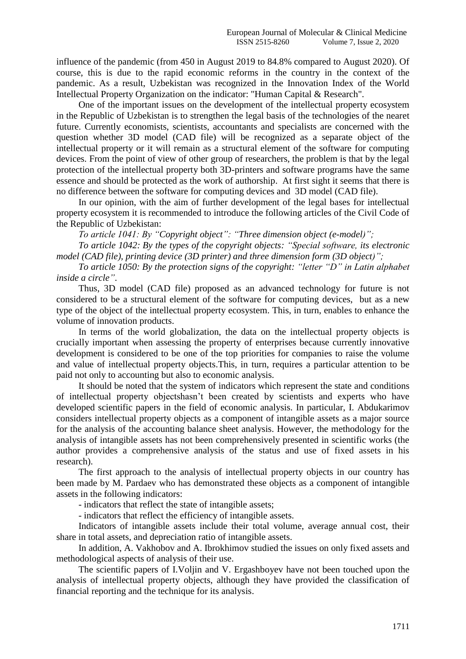influence of the pandemic (from 450 in August 2019 to 84.8% compared to August 2020). Of course, this is due to the rapid economic reforms in the country in the context of the pandemic. As a result, Uzbekistan was recognized in the Innovation Index of the World Intellectual Property Organization on the indicator: "Human Capital & Research".

One of the important issues on the development of the intellectual property ecosystem in the Republic of Uzbekistan is to strengthen the legal basis of the technologies of the nearet future. Currently economists, scientists, accountants and specialists are concerned with the question whether 3D model (CAD file) will be recognized as a separate object of the intellectual property or it will remain as a structural element of the software for computing devices. From the point of view of other group of researchers, the problem is that by the legal protection of the intellectual property both 3D-printers and software programs have the same essence and should be protected as the work of authorship. At first sight it seems that there is no difference between the software for computing devices and 3D model (CAD file).

In our opinion, with the aim of further development of the legal bases for intellectual property ecosystem it is recommended to introduce the following articles of the Civil Code of the Republic of Uzbekistan:

*To article 1041: By "Copyright object": "Three dimension object (e-model)";*

*To article 1042: By the types of the copyright objects: "Special software, its electronic model (CAD file), printing device (3D printer) and three dimension form (3D object)";*

*To article 1050: By the protection signs of the copyright: "letter "D" in Latin alphabet inside a circle"*.

Thus, 3D model (CAD file) proposed as an advanced technology for future is not considered to be a structural element of the software for computing devices, but as a new type of the object of the intellectual property ecosystem. This, in turn, enables to enhance the volume of innovation products.

In terms of the world globalization, the data on the intellectual property objects is crucially important when assessing the property of enterprises because currently innovative development is considered to be one of the top priorities for companies to raise the volume and value of intellectual property objects.This, in turn, requires a particular attention to be paid not only to accounting but also to economic analysis.

It should be noted that the system of indicators which represent the state and conditions of intellectual property objectshasn't been created by scientists and experts who have developed scientific papers in the field of economic analysis. In particular, I. Abdukarimov considers intellectual property objects as a component of intangible assets as a major source for the analysis of the accounting balance sheet analysis. However, the methodology for the analysis of intangible assets has not been comprehensively presented in scientific works (the author provides a comprehensive analysis of the status and use of fixed assets in his research).

The first approach to the analysis of intellectual property objects in our country has been made by M. Pardaev who has demonstrated these objects as a component of intangible assets in the following indicators:

- indicators that reflect the state of intangible assets;

- indicators that reflect the efficiency of intangible assets.

Indicators of intangible assets include their total volume, average annual cost, their share in total assets, and depreciation ratio of intangible assets.

In addition, A. Vakhobov and A. Ibrokhimov studied the issues on only fixed assets and methodological aspects of analysis of their use.

The scientific papers of I.Voljin and V. Ergashboyev have not been touched upon the analysis of intellectual property objects, although they have provided the classification of financial reporting and the technique for its analysis.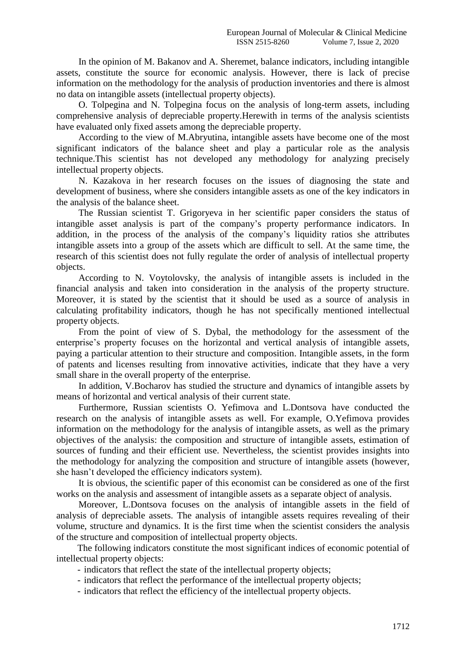In the opinion of M. Bakanov and A. Sheremet, balance indicators, including intangible assets, constitute the source for economic analysis. However, there is lack of precise information on the methodology for the analysis of production inventories and there is almost no data on intangible assets (intellectual property objects).

O. Tolpegina and N. Tolpegina focus on the analysis of long-term assets, including comprehensive analysis of depreciable property.Herewith in terms of the analysis scientists have evaluated only fixed assets among the depreciable property.

According to the view of M.Abryutina, intangible assets have become one of the most significant indicators of the balance sheet and play a particular role as the analysis technique.This scientist has not developed any methodology for analyzing precisely intellectual property objects.

N. Kazakova in her research focuses on the issues of diagnosing the state and development of business, where she considers intangible assets as one of the key indicators in the analysis of the balance sheet.

The Russian scientist T. Grigoryeva in her scientific paper considers the status of intangible asset analysis is part of the company's property performance indicators. In addition, in the process of the analysis of the company's liquidity ratios she attributes intangible assets into a group of the assets which are difficult to sell. At the same time, the research of this scientist does not fully regulate the order of analysis of intellectual property objects.

According to N. Voytolovsky, the analysis of intangible assets is included in the financial analysis and taken into consideration in the analysis of the property structure. Moreover, it is stated by the scientist that it should be used as a source of analysis in calculating profitability indicators, though he has not specifically mentioned intellectual property objects.

From the point of view of S. Dybal, the methodology for the assessment of the enterprise's property focuses on the horizontal and vertical analysis of intangible assets, paying a particular attention to their structure and composition. Intangible assets, in the form of patents and licenses resulting from innovative activities, indicate that they have a very small share in the overall property of the enterprise.

In addition, V.Bocharov has studied the structure and dynamics of intangible assets by means of horizontal and vertical analysis of their current state.

Furthermore, Russian scientists O. Yefimova and L.Dontsova have conducted the research on the analysis of intangible assets as well. For example, O.Yefimova provides information on the methodology for the analysis of intangible assets, as well as the primary objectives of the analysis: the composition and structure of intangible assets, estimation of sources of funding and their efficient use. Nevertheless, the scientist provides insights into the methodology for analyzing the composition and structure of intangible assets (however, she hasn't developed the efficiency indicators system).

It is obvious, the scientific paper of this economist can be considered as one of the first works on the analysis and assessment of intangible assets as a separate object of analysis.

Moreover, L.Dontsova focuses on the analysis of intangible assets in the field of analysis of depreciable assets. The analysis of intangible assets requires revealing of their volume, structure and dynamics. It is the first time when the scientist considers the analysis of the structure and composition of intellectual property objects.

The following indicators constitute the most significant indices of economic potential of intellectual property objects:

- indicators that reflect the state of the intellectual property objects;
- indicators that reflect the performance of the intellectual property objects;
- indicators that reflect the efficiency of the intellectual property objects.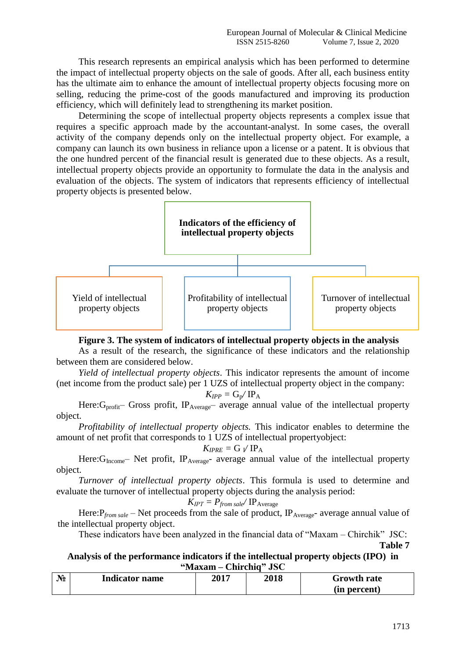This research represents an empirical analysis which has been performed to determine the impact of intellectual property objects on the sale of goods. After all, each business entity has the ultimate aim to enhance the amount of intellectual property objects focusing more on selling, reducing the prime-cost of the goods manufactured and improving its production efficiency, which will definitely lead to strengthening its market position.

Determining the scope of intellectual property objects represents a complex issue that requires a specific approach made by the accountant-analyst. In some cases, the overall activity of the company depends only on the intellectual property object. For example, a company can launch its own business in reliance upon a license or a patent. It is obvious that the one hundred percent of the financial result is generated due to these objects. As a result, intellectual property objects provide an opportunity to formulate the data in the analysis and evaluation of the objects. The system of indicators that represents efficiency of intellectual property objects is presented below.



**Figure 3. The system of indicators of intellectual property objects in the analysis** 

As a result of the research, the significance of these indicators and the relationship between them are considered below.

*Yield of intellectual property objects*. This indicator represents the amount of income (net income from the product sale) per 1 UZS of intellectual property object in the company:

$$
K_{IPP} = G_{p}/IP_{A}
$$

Here: G<sub>profit</sub>– Gross profit, IP<sub>Average</sub>– average annual value of the intellectual property object.

*Profitability of intellectual property objects.* This indicator enables to determine the amount of net profit that corresponds to 1 UZS of intellectual propertyobject:

$$
K_{IPRE} = G \sqrt{IP_A}
$$

Here: G<sub>Income</sub>– Net profit, IP<sub>Average</sub>- average annual value of the intellectual property object.

*Turnover of intellectual property objects*. This formula is used to determine and evaluate the turnover of intellectual property objects during the analysis period:

$$
K_{IPT} = P_{from \, sale} / \, IP_{Average}
$$

Here:  $P_{from \, sale}$  – Net proceeds from the sale of product,  $IP_{Average}$ - average annual value of the intellectual property object.

These indicators have been analyzed in the financial data of "Maxam – Chirchik" JSC:

**Table 7**

**Analysis of the performance indicators if the intellectual property objects (IPO) in "Maxam – Chirchiq" JSC**

| $\mathbf{N_2}$ | <b>Indicator name</b> | 2017 | 2018 | Growth rate  |
|----------------|-----------------------|------|------|--------------|
|                |                       |      |      | (in percent) |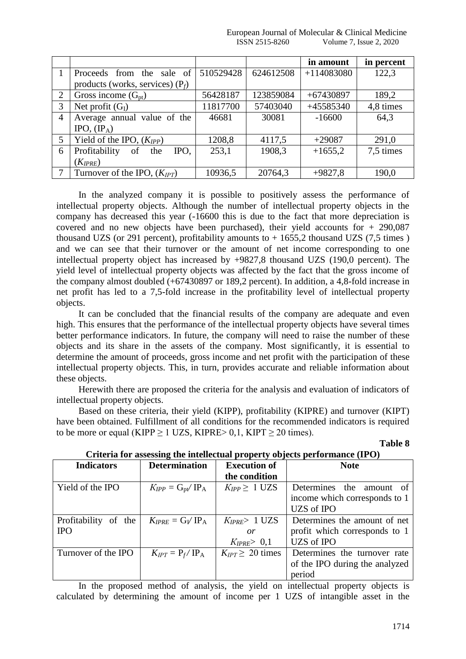|                |                                    |           |           | in amount    | in percent |
|----------------|------------------------------------|-----------|-----------|--------------|------------|
|                | Proceeds from the sale of          | 510529428 | 624612508 | $+114083080$ | 122,3      |
|                | products (works, services) $(P_f)$ |           |           |              |            |
| 2              | Gross income $(G_{pt})$            | 56428187  | 123859084 | $+67430897$  | 189,2      |
| 3              | Net profit $(G_I)$                 | 11817700  | 57403040  | +45585340    | 4,8 times  |
| $\overline{4}$ | Average annual value of the        | 46681     | 30081     | $-16600$     | 64,3       |
|                | IPO, $(\text{IP}_A)$               |           |           |              |            |
| 5              | Yield of the IPO, $(K_{IPP})$      | 1208,8    | 4117,5    | $+29087$     | 291,0      |
| 6              | Profitability<br>of<br>IPO.<br>the | 253,1     | 1908,3    | $+1655,2$    | 7,5 times  |
|                | $(K_{IPRE})$                       |           |           |              |            |
| 7              | Turnover of the IPO, $(K_{IPT})$   | 10936,5   | 20764,3   | $+9827,8$    | 190,0      |

In the analyzed company it is possible to positively assess the performance of intellectual property objects. Although the number of intellectual property objects in the company has decreased this year (-16600 this is due to the fact that more depreciation is covered and no new objects have been purchased), their yield accounts for  $+290,087$ thousand UZS (or 291 percent), profitability amounts to  $+ 1655,2$  thousand UZS (7,5 times) and we can see that their turnover or the amount of net income corresponding to one intellectual property object has increased by +9827,8 thousand UZS (190,0 percent). The yield level of intellectual property objects was affected by the fact that the gross income of the company almost doubled (+67430897 or 189,2 percent). In addition, a 4,8-fold increase in net profit has led to a 7,5-fold increase in the profitability level of intellectual property objects.

It can be concluded that the financial results of the company are adequate and even high. This ensures that the performance of the intellectual property objects have several times better performance indicators. In future, the company will need to raise the number of these objects and its share in the assets of the company. Most significantly, it is essential to determine the amount of proceeds, gross income and net profit with the participation of these intellectual property objects. This, in turn, provides accurate and reliable information about these objects.

Herewith there are proposed the criteria for the analysis and evaluation of indicators of intellectual property objects.

Based on these criteria, their yield (KIPP), profitability (KIPRE) and turnover (KIPT) have been obtained. Fulfillment of all conditions for the recommended indicators is required to be more or equal (KIPP  $> 1$  UZS, KIPRE $> 0.1$ , KIPT  $> 20$  times).

| <b>Indicators</b>    | <b>Determination</b>             | <b>Execution of</b>     | <b>Note</b>                    |
|----------------------|----------------------------------|-------------------------|--------------------------------|
|                      |                                  | the condition           |                                |
| Yield of the IPO     | $K_{IPP} = G_{\rm pt}/\rm{IP}_A$ | $K_{IPP} \geq 1$ UZS    | Determines the amount of       |
|                      |                                  |                         | income which corresponds to 1  |
|                      |                                  |                         | <b>UZS</b> of IPO              |
| Profitability of the | $K_{IPRE} = G_V$ IP <sub>A</sub> | $K_{IPRE} > 1$ UZS      | Determines the amount of net   |
| <b>IPO</b>           |                                  | $\overline{or}$         | profit which corresponds to 1  |
|                      |                                  | $K_{IPRE} > 0,1$        | <b>UZS</b> of IPO              |
| Turnover of the IPO  | $K_{IPT} = P_f / IP_A$           | $K_{IPT} \geq 20$ times | Determines the turnover rate   |
|                      |                                  |                         | of the IPO during the analyzed |
|                      |                                  |                         | period                         |

|  |  | Criteria for assessing the intellectual property objects performance (IPO) |  |
|--|--|----------------------------------------------------------------------------|--|
|  |  |                                                                            |  |
|  |  |                                                                            |  |

In the proposed method of analysis, the yield on intellectual property objects is calculated by determining the amount of income per 1 UZS of intangible asset in the

**Table 8**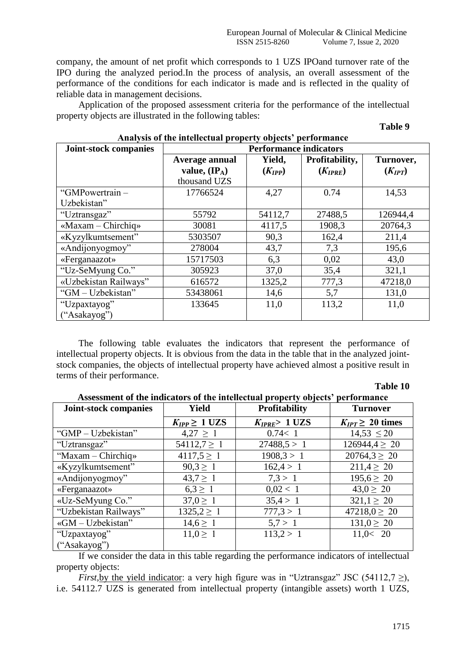company, the amount of net profit which corresponds to 1 UZS IPOand turnover rate of the IPO during the analyzed period.In the process of analysis, an overall assessment of the performance of the conditions for each indicator is made and is reflected in the quality of reliable data in management decisions.

Application of the proposed assessment criteria for the performance of the intellectual property objects are illustrated in the following tables:

#### **Table 9**

| <b>Joint-stock companies</b>      | <b>Performance indicators</b>                              |                       |                                |                          |  |  |  |
|-----------------------------------|------------------------------------------------------------|-----------------------|--------------------------------|--------------------------|--|--|--|
|                                   | Average annual<br>value, $(\mathbf{IP}_A)$<br>thousand UZS | Yield,<br>$(K_{IPP})$ | Profitability,<br>$(K_{IPRE})$ | Turnover,<br>$(K_{IPT})$ |  |  |  |
| "GMPowertrain-<br>Uzbekistan"     | 17766524                                                   | 4,27                  | 0.74                           | 14,53                    |  |  |  |
| "Uztransgaz"                      | 55792                                                      | 54112,7               | 27488,5                        | 126944,4                 |  |  |  |
| $\triangleleft$ Maxam – Chirchiq» | 30081                                                      | 4117,5                | 1908,3                         | 20764,3                  |  |  |  |
| «Kyzylkumtsement"                 | 5303507                                                    | 90,3                  | 162,4                          | 211,4                    |  |  |  |
| «Andijonyogmoy"                   | 278004                                                     | 43,7                  | 7,3                            | 195,6                    |  |  |  |
| «Ferganaazot»                     | 15717503                                                   | 6,3                   | 0,02                           | 43,0                     |  |  |  |
| "Uz-SeMyung Co."                  | 305923                                                     | 37,0                  | 35,4                           | 321,1                    |  |  |  |
| «Uzbekistan Railways"             | 616572                                                     | 1325,2                | 777,3                          | 47218,0                  |  |  |  |
| "GM - Uzbekistan"                 | 53438061                                                   | 14,6                  | 5,7                            | 131,0                    |  |  |  |
| "Uzpaxtayog"<br>("Asakayog")      | 133645                                                     | 11,0                  | 113,2                          | 11,0                     |  |  |  |

## **Analysis of the intellectual property objects' performance**

The following table evaluates the indicators that represent the performance of intellectual property objects. It is obvious from the data in the table that in the analyzed jointstock companies, the objects of intellectual property have achieved almost a positive result in terms of their performance.

**Table 10**

| Joint-stock companies | <b>Yield</b>         | <b>Profitability</b> | <b>Turnover</b>         |
|-----------------------|----------------------|----------------------|-------------------------|
|                       |                      |                      |                         |
|                       | $K_{IPP} \geq 1$ UZS | $K_{IPRE}$ > 1 UZS   | $K_{IPT} \geq 20$ times |
| "GMP - Uzbekistan"    | $4,27 \geq 1$        | 0.74 < 1             | $14,53 \le 20$          |
| "Uztransgaz"          | $54112,7 \geq 1$     | 27488.5 > 1          | $126944.4 \geq 20$      |
| "Maxam - Chirchiq»    | $4117,5 \geq 1$      | 1908,3 > 1           | $20764.3 \geq 20$       |
| «Kyzylkumtsement"     | $90,3 \geq 1$        | 162,4>1              | $211.4 \geq 20$         |
| «Andijonyogmoy"       | $43,7 \geq 1$        | 7.3 > 1              | $195.6 \geq 20$         |
| «Ferganaazot»         | $6.3 \ge 1$          | 0,02 < 1             | $43.0 \ge 20$           |
| «Uz-SeMyung Co."      | $37.0 \geq 1$        | 35,4>1               | $321,1 \geq 20$         |
| "Uzbekistan Railways" | $1325, 2 \geq 1$     | 777.3 > 1            | $47218,0 \geq 20$       |
| «GM - Uzbekistan"     | $14,6 \geq 1$        | 5.7 > 1              | $131.0 \geq 20$         |
| "Uzpaxtayog"          | $11.0 \ge 1$         | 113,2>1              | 11,0< 20                |
| ("Asakayog")          |                      |                      |                         |

**Assessment of the indicators of the intellectual property objects' performance**

If we consider the data in this table regarding the performance indicators of intellectual property objects:

*First*,by the yield indicator: a very high figure was in "Uztransgaz" JSC (54112,7  $\geq$ ), i.e. 54112.7 UZS is generated from intellectual property (intangible assets) worth 1 UZS,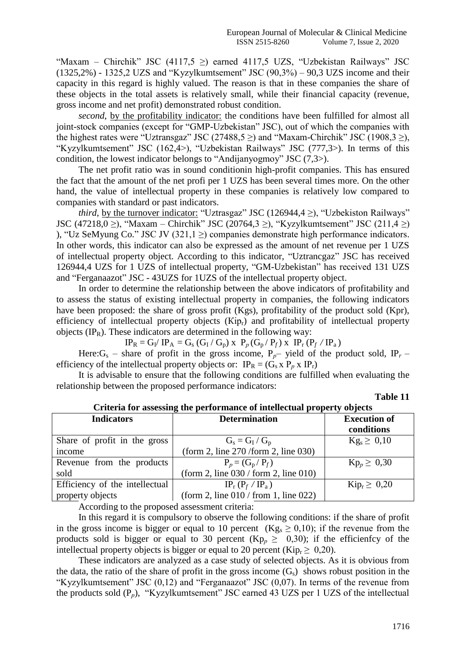"Maxam – Chirchik" JSC (4117,5  $\geq$ ) earned 4117,5 UZS, "Uzbekistan Railways" JSC  $(1325,2\%)$  - 1325,2 UZS and "Kyzylkumtsement" JSC  $(90,3\%)$  – 90,3 UZS income and their capacity in this regard is highly valued. The reason is that in these companies the share of these objects in the total assets is relatively small, while their financial capacity (revenue, gross income and net profit) demonstrated robust condition.

*second*, by the profitability indicator: the conditions have been fulfilled for almost all joint-stock companies (except for "GMP-Uzbekistan" JSC), out of which the companies with the highest rates were "Uztransgaz" JSC (27488,5  $\geq$ ) and "Maxam-Chirchik" JSC (1908,3  $\geq$ ), "Kyzylkumtsement" JSC (162,4>), "Uzbekistan Railways" JSC (777,3>). In terms of this condition, the lowest indicator belongs to "Andijanyogmoy" JSC (7,3>).

The net profit ratio was in sound conditionin high-profit companies. This has ensured the fact that the amount of the net profi per 1 UZS has been several times more. On the other hand, the value of intellectual property in these companies is relatively low compared to companies with standard or past indicators.

*third*, by the turnover indicator: "Uztrasgaz" JSC (126944,4  $\geq$ ), "Uzbekiston Railways" JSC (47218,0 ≥), "Maxam – Chirchik" JSC (20764,3 ≥), "Kyzylkumtsement" JSC (211,4 ≥) ), "Uz SeMyung Co." JSC JV (321,1  $\geq$ ) companies demonstrate high performance indicators. In other words, this indicator can also be expressed as the amount of net revenue per 1 UZS of intellectual property object. According to this indicator, "Uztrancgaz" JSC has received 126944,4 UZS for 1 UZS of intellectual property, "GM-Uzbekistan" has received 131 UZS and "Ferganaazot" JSC - 43UZS for 1UZS of the intellectual property object.

In order to determine the relationship between the above indicators of profitability and to assess the status of existing intellectual property in companies, the following indicators have been proposed: the share of gross profit (Kgs), profitability of the product sold (Kpr), efficiency of intellectual property objects (Kip<sub>r</sub>) and profitability of intellectual property objects  $(\text{IP}_R)$ . These indicators are determined in the following way:

 $IP_R = G_I / IP_A = G_s (G_I / G_p) \times P_p (G_p / P_f) \times IP_r (P_f / IP_a)$ 

Here: $G_s$  – share of profit in the gross income,  $P_p$  yield of the product sold, IP<sub>r</sub> – efficiency of the intellectual property objects or:  $IP_R = (G_s \times P_p \times IP_r)$ 

It is advisable to ensure that the following conditions are fulfilled when evaluating the relationship between the proposed performance indicators:

**Table 11**

| <b>Indicators</b>              | <b>Determination</b>                      | <b>Execution of</b><br>conditions |  |  |
|--------------------------------|-------------------------------------------|-----------------------------------|--|--|
| Share of profit in the gross   | $G_s = G_I / G_p$                         | $Kg_s \geq 0.10$                  |  |  |
| income                         | (form 2, line 270/form 2, line 030)       |                                   |  |  |
| Revenue from the products      | $P_p = (G_p / P_f)$                       | $Kp_p \geq 0,30$                  |  |  |
| sold                           | (form 2, line $030/$ form 2, line $010$ ) |                                   |  |  |
| Efficiency of the intellectual | $IP_r(P_f/IP_a)$                          | $\mathrm{Kip}_r \geq 0.20$        |  |  |
| property objects               | (form 2, line $010/$ from 1, line 022)    |                                   |  |  |

## **Criteria for assessing the performance of intellectual property objects**

According to the proposed assessment criteria:

In this regard it is compulsory to observe the following conditions: if the share of profit in the gross income is bigger or equal to 10 percent  $(Kg_s \ge 0.10)$ ; if the revenue from the products sold is bigger or equal to 30 percent  $(Kp_p \ge 0,30)$ ; if the efficienticy of the intellectual property objects is bigger or equal to 20 percent (Kip<sub>r</sub>  $\geq$  0,20).

These indicators are analyzed as a case study of selected objects. As it is obvious from the data, the ratio of the share of profit in the gross income  $(G_s)$  shows robust position in the "Kyzylkumtsement" JSC (0,12) and "Ferganaazot" JSC (0,07). In terms of the revenue from the products sold (P<sub>p</sub>), "Kyzylkumtsement" JSC earned 43 UZS per 1 UZS of the intellectual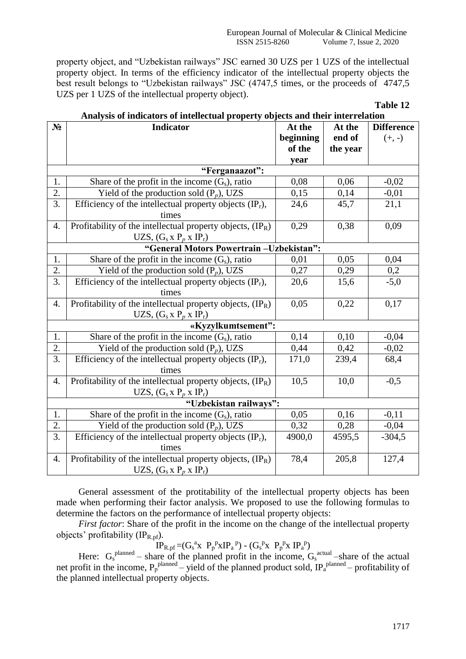property object, and "Uzbekistan railways" JSC earned 30 UZS per 1 UZS of the intellectual property object. In terms of the efficiency indicator of the intellectual property objects the best result belongs to "Uzbekistan railways" JSC (4747,5 times, or the proceeds of 4747,5 UZS per 1 UZS of the intellectual property object).

**Table 12**

| $N_2$                  | naryolo or maneators or micheetaal property<br><b>Indicator</b>     | At the    | At the   | <b>Difference</b> |  |  |
|------------------------|---------------------------------------------------------------------|-----------|----------|-------------------|--|--|
|                        |                                                                     |           | end of   |                   |  |  |
|                        |                                                                     | beginning |          | $(+, -)$          |  |  |
|                        |                                                                     | of the    | the year |                   |  |  |
|                        |                                                                     | year      |          |                   |  |  |
|                        | "Ferganaazot":                                                      |           |          |                   |  |  |
| 1.                     | Share of the profit in the income $(G_s)$ , ratio                   | 0,08      | 0,06     | $-0,02$           |  |  |
| $\overline{2}$ .       | Yield of the production sold $(P_p)$ , UZS                          | 0,15      | 0,14     | $-0,01$           |  |  |
| 3.                     | Efficiency of the intellectual property objects $(\text{IP}_r)$ ,   | 24,6      | 45,7     | 21,1              |  |  |
|                        | times                                                               |           |          |                   |  |  |
| 4.                     | Profitability of the intellectual property objects, $(\text{IP}_R)$ | 0,29      | 0,38     | 0,09              |  |  |
|                        | UZS, $(G_s x P_p x IP_r)$                                           |           |          |                   |  |  |
|                        | "General Motors Powertrain -Uzbekistan":                            |           |          |                   |  |  |
| 1.                     | Share of the profit in the income $(G_s)$ , ratio                   | 0,01      | 0,05     | 0,04              |  |  |
| $\overline{2}$ .       | Yield of the production sold $(P_n)$ , UZS                          | 0,27      | 0,29     | 0,2               |  |  |
| 3.                     | Efficiency of the intellectual property objects $(\text{IP}_r)$ ,   | 20,6      | 15,6     | $-5,0$            |  |  |
|                        | times                                                               |           |          |                   |  |  |
| $\overline{4}$ .       | Profitability of the intellectual property objects, $(\text{IP}_R)$ | 0,05      | 0,22     | 0,17              |  |  |
|                        | UZS, $(G_s x P_n x IP_r)$                                           |           |          |                   |  |  |
|                        | «Kyzylkumtsement":                                                  |           |          |                   |  |  |
| 1.                     | Share of the profit in the income $(G_s)$ , ratio                   | 0,14      | 0,10     | $-0,04$           |  |  |
| 2.                     | Yield of the production sold $(P_p)$ , UZS                          | 0,44      | 0,42     | $-0,02$           |  |  |
| $\overline{3}$ .       | Efficiency of the intellectual property objects $(\text{IP}_r)$ ,   | 171,0     | 239,4    | 68,4              |  |  |
|                        | times                                                               |           |          |                   |  |  |
| $\overline{4}$ .       | Profitability of the intellectual property objects, $(\text{IP}_R)$ | 10,5      | 10,0     | $-0,5$            |  |  |
|                        | UZS, $(G_s x P_p x IP_r)$                                           |           |          |                   |  |  |
| "Uzbekistan railways": |                                                                     |           |          |                   |  |  |
| 1.                     | Share of the profit in the income $(G_s)$ , ratio                   | 0,05      | 0,16     | $-0,11$           |  |  |
| 2.                     | Yield of the production sold $(P_p)$ , UZS                          | 0,32      | 0,28     | $-0,04$           |  |  |
| $\overline{3}$ .       | Efficiency of the intellectual property objects $(\text{IP}_r)$ ,   | 4900,0    | 4595,5   | $-304,5$          |  |  |
|                        | times                                                               |           |          |                   |  |  |
| 4.                     | Profitability of the intellectual property objects, (IPR)           | 78,4      | 205,8    | 127,4             |  |  |
|                        | UZS, $(G_s x P_p x IP_r)$                                           |           |          |                   |  |  |

**Analysis of indicators of intellectual property objects and their interrelation**

General assessment of the protitability of the intellectual property objects has been made when performing their factor analysis. We proposed to use the following formulas to determine the factors on the performance of intellectual property objects:

*First factor*: Share of the profit in the income on the change of the intellectual property objects' profitability  $(\text{IP}_{\text{R,pf}})$ .

 $IP_{R,pf} = (G_s^a x P_p^p x IP_a^p) - (G_s^p x P_p^p x IP_a^p)$ 

Here:  $G_s^{\text{planned}}$  – share of the planned profit in the income,  $G_s^{\text{actual}}$  –share of the actual net profit in the income,  $P_p^{planned}$  – yield of the planned product sold,  $IP_a^{planned}$  – profitability of the planned intellectual property objects.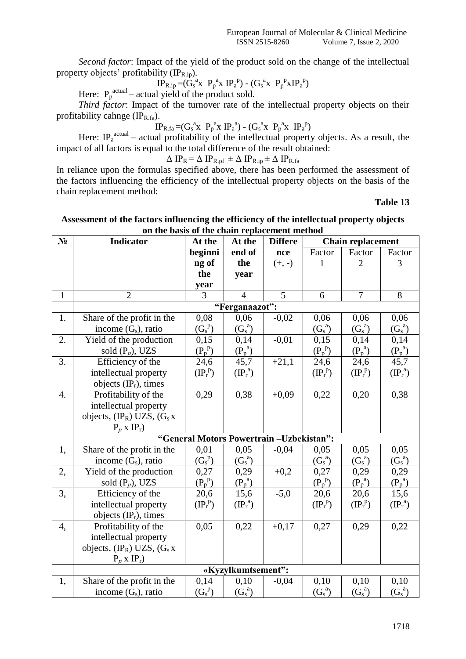*Second factor*: Impact of the yield of the product sold on the change of the intellectual property objects' profitability  $(\mathbb{IP}_{\text{R},ip})$ .

$$
IP_{R,ip} = (G_s^a x P_p^a x IP_a^p) - (G_s^a x P_p^p x IP_a^p)
$$

Here:  $P_p^{actual}$  – actual yield of the product sold.

*Third factor*: Impact of the turnover rate of the intellectual property objects on their profitability cahnge  $(\text{IP}_{\text{R},\text{fa}})$ .

$$
IP_{R,fa} = (G_s^a x P_p^a x IP_a^a) - (G_s^a x P_p^a x IP_a^p)
$$

Here: IP<sub>a</sub><sup>actual</sup> – actual profitability of the intellectual property objects. As a result, the impact of all factors is equal to the total difference of the result obtained:

$$
\Delta IP_R = \Delta IP_{R,pf} \pm \Delta IP_{R,ip} \pm \Delta IP_{R,fa}
$$

In reliance upon the formulas specified above, there has been performed the assessment of the factors influencing the efficiency of the intellectual property objects on the basis of the chain replacement method:

**Table 13**

| on the basis of the chain replacement method |                                         |                                         |                    |                |                        |                          |                   |
|----------------------------------------------|-----------------------------------------|-----------------------------------------|--------------------|----------------|------------------------|--------------------------|-------------------|
| $N_2$                                        | <b>Indicator</b>                        | At the                                  | At the             | <b>Differe</b> |                        | <b>Chain replacement</b> |                   |
|                                              |                                         | beginni                                 | end of             | nce            | Factor                 | Factor                   | Factor            |
|                                              |                                         | ng of                                   | the                | $(+, -)$       | $\mathbf{1}$           | $\overline{2}$           | 3                 |
|                                              |                                         | the                                     | year               |                |                        |                          |                   |
|                                              |                                         | year                                    |                    |                |                        |                          |                   |
| $\mathbf{1}$                                 | $\overline{2}$                          | 3                                       | $\overline{4}$     | 5              | 6                      | $\overline{7}$           | 8                 |
|                                              |                                         |                                         | "Ferganaazot":     |                |                        |                          |                   |
| 1.                                           | Share of the profit in the              | 0,08                                    | 0,06               | $-0,02$        | 0,06                   | 0,06                     | 0,06              |
|                                              | income $(G_s)$ , ratio                  | $(G_s^p)$                               | $(G_s^a)$          |                | $(G_s^a)$              | $(G_s^a)$                | $(G_s^a)$         |
| 2.                                           | Yield of the production                 | 0,15                                    | 0,14               | $-0.01$        | 0,15                   | 0,14                     | 0,14              |
|                                              | sold $(P_p)$ , UZS                      | $(P_p^p)$                               | $(P_p^a)$          |                | $(P_p^p)$              | $(P_p^a)$                | $(P_p^a)$         |
| $\overline{3}$ .                             | Efficiency of the                       | 24,6                                    | 45,7               | $+21,1$        | 24,6                   | 24,6                     | 45,7              |
|                                              | intellectual property                   | $(\text{IP}_r^p)$                       | $(\text{IP}_r^a)$  |                | $(\mathbb{P}_r^p)$     | $(\text{IP}_r^p)$        | $(\text{IP}_r^a)$ |
|                                              | objects $(\text{IP}_r)$ , times         |                                         |                    |                |                        |                          |                   |
| 4.                                           | Profitability of the                    | 0,29                                    | 0,38               | $+0,09$        | 0,22                   | 0,20                     | 0,38              |
|                                              | intellectual property                   |                                         |                    |                |                        |                          |                   |
|                                              | objects, $(\text{IP}_R)$ UZS, $(G_s x)$ |                                         |                    |                |                        |                          |                   |
|                                              | $P_p$ x $IP_r$ )                        |                                         |                    |                |                        |                          |                   |
|                                              |                                         | "General Motors Powertrain-Uzbekistan": |                    |                |                        |                          |                   |
| 1,                                           | Share of the profit in the              | 0,01                                    | 0,05               | $-0,04$        | 0,05                   | 0,05                     | 0,05              |
|                                              | income $(G_s)$ , ratio                  | $(G_s^p)$                               | $(G_s^a)$          |                | $(G_s^a)$              | $(G_s^a)$                | $(G_s^a)$         |
| 2,                                           | Yield of the production                 | 0,27                                    | 0,29               | $+0,2$         | 0,27                   | 0,29                     | 0,29              |
|                                              | sold $(P_p)$ , UZS                      | $(P_p^p)$                               | $(P_p^a)$          |                | $(P_p^p)$              | $(P_p^a)$                | $(P_p^a)$         |
| 3,                                           | Efficiency of the                       | 20,6                                    | 15,6               | $-5,0$         | 20,6                   | 20,6                     | 15,6              |
|                                              | intellectual property                   | $(\text{IP}_r^p)$                       | $(\text{IP}_r^a)$  |                | $(\mathbb{P}^{\,p}_r)$ | $(\text{IP}_r^p)$        | $(\text{IP}_r^a)$ |
|                                              | objects $(\text{IP}_r)$ , times         |                                         |                    |                |                        |                          |                   |
| 4,                                           | Profitability of the                    | 0,05                                    | 0,22               | $+0,17$        | 0,27                   | 0,29                     | 0,22              |
|                                              | intellectual property                   |                                         |                    |                |                        |                          |                   |
|                                              | objects, $(\text{IP}_R)$ UZS, $(G_s x)$ |                                         |                    |                |                        |                          |                   |
|                                              | $P_p$ x $IP_r$ )                        |                                         |                    |                |                        |                          |                   |
|                                              |                                         |                                         | «Kyzylkumtsement": |                |                        |                          |                   |
| 1,                                           | Share of the profit in the              | 0,14                                    | 0,10               | $-0,04$        | 0,10                   | 0,10                     | 0,10              |
|                                              | income $(G_s)$ , ratio                  | $(G_s^p)$                               | $(G_s^a)$          |                | $(G_s^a)$              | $(G_s^a)$                | $(G_s^a)$         |

## **Assessment of the factors influencing the efficiency of the intellectual property objects on the basis of the chain replacement method**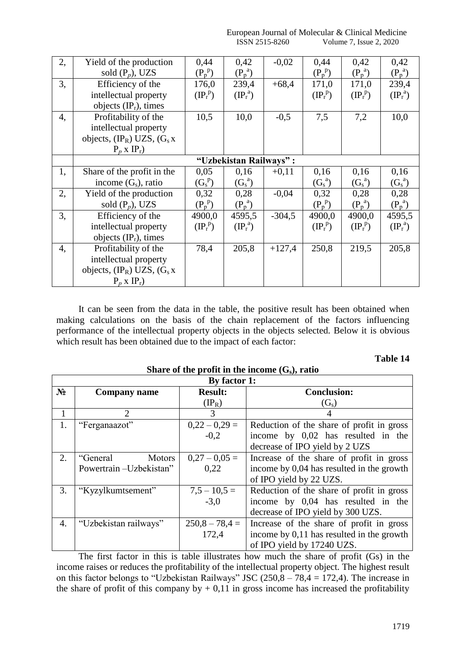| European Journal of Molecular & Clinical Medicine |                            |
|---------------------------------------------------|----------------------------|
| ISSN 2515-8260                                    | I. Issue 2, 2020<br>Volume |

| 2, | Yield of the production                 | 0,44                   | 0,42                   | $-0,02$  | 0,44               | 0,42              | 0,42              |
|----|-----------------------------------------|------------------------|------------------------|----------|--------------------|-------------------|-------------------|
|    | sold $(P_p)$ , UZS                      | $(P_p^p)$              | $(P_p^a)$              |          | $(P_p^p)$          | $(P_p^a)$         | $(P_p^a)$         |
| 3, | Efficiency of the                       | 176,0                  | 239,4                  | $+68,4$  | 171,0              | 171,0             | 239,4             |
|    | intellectual property                   | $(\mathbb{P}^{\,p}_r)$ | $(\text{IP}_r^a)$      |          | $(\mathbb{P}_r^p)$ | $(\text{IP}_r^p)$ | $(\text{IP}_r^a)$ |
|    | objects $(\text{IP}_r)$ , times         |                        |                        |          |                    |                   |                   |
| 4, | Profitability of the                    | 10,5                   | 10,0                   | $-0,5$   | 7,5                | 7,2               | 10,0              |
|    | intellectual property                   |                        |                        |          |                    |                   |                   |
|    | objects, $(\text{IP}_R)$ UZS, $(G_s x)$ |                        |                        |          |                    |                   |                   |
|    | $P_p$ x $IP_r$ )                        |                        |                        |          |                    |                   |                   |
|    |                                         |                        | "Uzbekistan Railways": |          |                    |                   |                   |
| 1, | Share of the profit in the              | 0,05                   | 0,16                   | $+0,11$  | 0,16               | 0,16              | 0,16              |
|    | income $(G_s)$ , ratio                  | $(G_s^p)$              | $(G_s^a)$              |          | $(G_s^a)$          | $(G_s^a)$         | $(G_s^a)$         |
| 2, | Yield of the production                 | 0,32                   | 0,28                   | $-0.04$  | 0,32               | 0,28              | 0,28              |
|    | sold $(P_p)$ , UZS                      | $(P_p^p)$              | $(P_p^a)$              |          | $(P_p^p)$          | $(P_p^a)$         | $(P_p^a)$         |
| 3, | Efficiency of the                       | 4900,0                 | 4595,5                 | $-304,5$ | 4900,0             | 4900,0            | 4595,5            |
|    | intellectual property                   | $(\text{IP}_r^p)$      | $(\text{IP}_r^a)$      |          | $(\mathbb{P}_r^p)$ | $(\text{IP}_r^p)$ | $(\text{IP}_r^a)$ |
|    | objects $(\text{IP}_r)$ , times         |                        |                        |          |                    |                   |                   |
| 4, | Profitability of the                    | 78,4                   | 205,8                  | $+127,4$ | 250,8              | 219,5             | 205,8             |
|    | intellectual property                   |                        |                        |          |                    |                   |                   |
|    | objects, $(\text{IP}_R)$ UZS, $(G_s x)$ |                        |                        |          |                    |                   |                   |
|    | $P_p$ x $IP_r$ )                        |                        |                        |          |                    |                   |                   |

It can be seen from the data in the table, the positive result has been obtained when making calculations on the basis of the chain replacement of the factors influencing performance of the intellectual property objects in the objects selected. Below it is obvious which result has been obtained due to the impact of each factor:

| l'able |
|--------|
|--------|

**Share of the profit in the income (Gs), ratio**

|                | By factor 1:              |                  |                                           |  |  |  |  |
|----------------|---------------------------|------------------|-------------------------------------------|--|--|--|--|
| N <sub>2</sub> | <b>Company name</b>       | <b>Result:</b>   | <b>Conclusion:</b>                        |  |  |  |  |
|                |                           | $(\text{IP}_R)$  | $(G_s)$                                   |  |  |  |  |
|                | 2                         | 3                |                                           |  |  |  |  |
| 1.             | "Ferganaazot"             | $0,22 - 0,29 =$  | Reduction of the share of profit in gross |  |  |  |  |
|                |                           | $-0,2$           | income by 0,02 has resulted in the        |  |  |  |  |
|                |                           |                  | decrease of IPO yield by 2 UZS            |  |  |  |  |
| 2.             | <b>Motors</b><br>"General | $0,27-0,05=$     | Increase of the share of profit in gross  |  |  |  |  |
|                | Powertrain-Uzbekistan"    | 0.22             | income by 0,04 has resulted in the growth |  |  |  |  |
|                |                           |                  | of IPO yield by 22 UZS.                   |  |  |  |  |
| 3.             | "Kyzylkumtsement"         | $7,5 - 10,5 =$   | Reduction of the share of profit in gross |  |  |  |  |
|                |                           | $-3.0$           | income by 0,04 has resulted in the        |  |  |  |  |
|                |                           |                  | decrease of IPO yield by 300 UZS.         |  |  |  |  |
| 4.             | "Uzbekistan railways"     | $250,8 - 78,4 =$ | Increase of the share of profit in gross  |  |  |  |  |
|                |                           | 172,4            | income by 0,11 has resulted in the growth |  |  |  |  |
|                |                           |                  | of IPO yield by 17240 UZS.                |  |  |  |  |

The first factor in this is table illustrates how much the share of profit (Gs) in the income raises or reduces the profitability of the intellectual property object. The highest result on this factor belongs to "Uzbekistan Railways" JSC  $(250, 8 - 78, 4 = 172, 4)$ . The increase in the share of profit of this company by  $+ 0.11$  in gross income has increased the profitability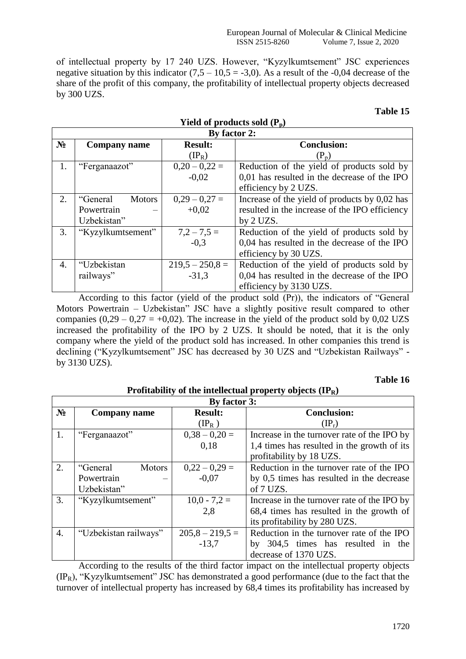of intellectual property by 17 240 UZS. However, "Kyzylkumtsement" JSC experiences negative situation by this indicator  $(7.5 - 10.5 = -3.0)$ . As a result of the -0.04 decrease of the share of the profit of this company, the profitability of intellectual property objects decreased by 300 UZS.

**Yield of products sold (Pр)**

## **Table 15**

|                | By factor 2:              |                   |                                                 |  |  |  |
|----------------|---------------------------|-------------------|-------------------------------------------------|--|--|--|
| N <sub>2</sub> | Company name              | <b>Result:</b>    | <b>Conclusion:</b>                              |  |  |  |
|                |                           | $(\rm{IP}_R)$     | $(P_p)$                                         |  |  |  |
| 1.             | "Ferganaazot"             | $0,20 - 0,22 =$   | Reduction of the yield of products sold by      |  |  |  |
|                |                           | $-0,02$           | 0,01 has resulted in the decrease of the IPO    |  |  |  |
|                |                           |                   | efficiency by 2 UZS.                            |  |  |  |
| 2.             | "General<br><b>Motors</b> | $0,29 - 0,27 =$   | Increase of the yield of products by $0.02$ has |  |  |  |
|                | Powertrain                | $+0.02$           | resulted in the increase of the IPO efficiency  |  |  |  |
|                | Uzbekistan"               |                   | by 2 UZS.                                       |  |  |  |
| 3.             | "Kyzylkumtsement"         | $7,2 - 7,5 =$     | Reduction of the yield of products sold by      |  |  |  |
|                |                           | $-0.3$            | 0,04 has resulted in the decrease of the IPO    |  |  |  |
|                |                           |                   | efficiency by 30 UZS.                           |  |  |  |
| 4.             | "Uzbekistan               | $219,5 - 250,8 =$ | Reduction of the yield of products sold by      |  |  |  |
|                | railways"                 | $-31.3$           | 0,04 has resulted in the decrease of the IPO    |  |  |  |
|                |                           |                   | efficiency by 3130 UZS.                         |  |  |  |

According to this factor (yield of the product sold (Pr)), the indicators of "General Motors Powertrain – Uzbekistan" JSC have a slightly positive result compared to other companies  $(0,29 - 0,27 = +0,02)$ . The increase in the yield of the product sold by 0,02 UZS increased the profitability of the IPO by 2 UZS. It should be noted, that it is the only company where the yield of the product sold has increased. In other companies this trend is declining ("Kyzylkumtsement" JSC has decreased by 30 UZS and "Uzbekistan Railways" by 3130 UZS).

## **Table 16**

|                  | Profitability of the intellectual property objects $(\text{IP}_R)$ |                   |                                             |  |  |  |
|------------------|--------------------------------------------------------------------|-------------------|---------------------------------------------|--|--|--|
|                  |                                                                    | By factor 3:      |                                             |  |  |  |
| N <sub>2</sub>   | Company name                                                       | <b>Result:</b>    | <b>Conclusion:</b>                          |  |  |  |
|                  |                                                                    | $(\text{IP}_R)$   | $(\mathrm{IP}_r)$                           |  |  |  |
| 1.               | "Ferganaazot"                                                      | $0,38 - 0,20 =$   | Increase in the turnover rate of the IPO by |  |  |  |
|                  |                                                                    | 0.18              | 1,4 times has resulted in the growth of its |  |  |  |
|                  |                                                                    |                   | profitability by 18 UZS.                    |  |  |  |
| 2.               | <b>Motors</b><br>"General                                          | $0,22 - 0,29 =$   | Reduction in the turnover rate of the IPO   |  |  |  |
|                  | Powertrain                                                         | $-0.07$           | by 0,5 times has resulted in the decrease   |  |  |  |
|                  | Uzbekistan"                                                        |                   | of 7 UZS.                                   |  |  |  |
| 3.               | "Kyzylkumtsement"                                                  | $10,0 - 7,2 =$    | Increase in the turnover rate of the IPO by |  |  |  |
|                  |                                                                    | 2,8               | 68,4 times has resulted in the growth of    |  |  |  |
|                  |                                                                    |                   | its profitability by 280 UZS.               |  |  |  |
| $\overline{4}$ . | "Uzbekistan railways"                                              | $205,8 - 219,5 =$ | Reduction in the turnover rate of the IPO   |  |  |  |
|                  |                                                                    | $-13,7$           | by 304,5 times has resulted in the          |  |  |  |
|                  |                                                                    |                   | decrease of 1370 UZS.                       |  |  |  |

According to the results of the third factor impact on the intellectual property objects  $(IP_R)$ , "Kyzylkumtsement" JSC has demonstrated a good performance (due to the fact that the turnover of intellectual property has increased by 68,4 times its profitability has increased by

### 1720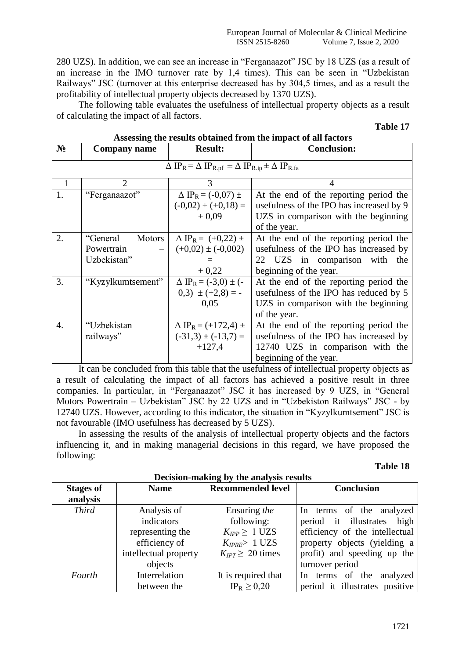280 UZS). In addition, we can see an increase in "Ferganaazot" JSC by 18 UZS (as a result of an increase in the IMO turnover rate by 1,4 times). This can be seen in "Uzbekistan Railways" JSC (turnover at this enterprise decreased has by 304,5 times, and as a result the profitability of intellectual property objects decreased by 1370 UZS).

The following table evaluates the usefulness of intellectual property objects as a result of calculating the impact of all factors.

| N <sub>2</sub>   | <b>Company name</b>                    | <b>Result:</b>                                                                                                         | <b>Conclusion:</b>                       |
|------------------|----------------------------------------|------------------------------------------------------------------------------------------------------------------------|------------------------------------------|
|                  |                                        | $\Delta$ IP <sub>R</sub> = $\Delta$ IP <sub>R.pf</sub> $\pm \Delta$ IP <sub>R.ip</sub> $\pm \Delta$ IP <sub>R.fa</sub> |                                          |
| 1                | $\overline{2}$                         | 3                                                                                                                      | 4                                        |
| 1.               | "Ferganaazot"                          | $\Delta$ IP <sub>R</sub> = (-0,07) $\pm$                                                                               | At the end of the reporting period the   |
|                  |                                        | $(-0.02) \pm (+0.18) =$                                                                                                | usefulness of the IPO has increased by 9 |
|                  |                                        | $+0.09$                                                                                                                | UZS in comparison with the beginning     |
|                  |                                        |                                                                                                                        | of the year.                             |
| 2.               | "General<br><b>Motors</b>              | $\Delta$ IP <sub>R</sub> = (+0,22) ±                                                                                   | At the end of the reporting period the   |
|                  | Powertrain<br>$\overline{\phantom{0}}$ | $(+0.02) \pm (-0.002)$                                                                                                 | usefulness of the IPO has increased by   |
|                  | Uzbekistan"                            |                                                                                                                        | 22 UZS in comparison with the            |
|                  |                                        | $+0,22$                                                                                                                | beginning of the year.                   |
| 3.               | "Kyzylkumtsement"                      | $\Delta$ IP <sub>R</sub> = (-3,0) ± (-                                                                                 | At the end of the reporting period the   |
|                  |                                        | $(0,3) \pm (+2,8) = -$                                                                                                 | usefulness of the IPO has reduced by 5   |
|                  |                                        | 0,05                                                                                                                   | UZS in comparison with the beginning     |
|                  |                                        |                                                                                                                        | of the year.                             |
| $\overline{4}$ . | "Uzbekistan                            | $\Delta$ IP <sub>R</sub> = (+172,4) ±                                                                                  | At the end of the reporting period the   |
|                  | railways"                              | $(-31,3) \pm (-13,7) =$                                                                                                | usefulness of the IPO has increased by   |
|                  |                                        | $+127,4$                                                                                                               | 12740 UZS in comparison with the         |
|                  |                                        |                                                                                                                        | beginning of the year.                   |

## **Assessing the results obtained from the impact of all factors**

It can be concluded from this table that the usefulness of intellectual property objects as a result of calculating the impact of all factors has achieved a positive result in three companies. In particular, in "Ferganaazot" JSC it has increased by 9 UZS, in "General Motors Powertrain – Uzbekistan" JSC by 22 UZS and in "Uzbekiston Railways" JSC - by 12740 UZS. However, according to this indicator, the situation in "Kyzylkumtsement" JSC is not favourable (IMO usefulness has decreased by 5 UZS).

In assessing the results of the analysis of intellectual property objects and the factors influencing it, and in making managerial decisions in this regard, we have proposed the following:

## **Table 18**

|                  |                       | Decision-making by the analysis results |                                |
|------------------|-----------------------|-----------------------------------------|--------------------------------|
| <b>Stages of</b> | <b>Name</b>           | <b>Recommended level</b>                | <b>Conclusion</b>              |
| analysis         |                       |                                         |                                |
| <b>Third</b>     | Analysis of           | Ensuring the                            | In terms of the analyzed       |
|                  | indicators            | following:                              | period it illustrates<br>high  |
|                  | representing the      | $K_{IPP} \geq 1$ UZS                    | efficiency of the intellectual |
|                  | efficiency of         | $K_{IPRE} > 1$ UZS                      | property objects (yielding a   |
|                  | intellectual property | $K_{IPT} \geq 20$ times                 | profit) and speeding up the    |
|                  | objects               |                                         | turnover period                |
| Fourth           | Interrelation         | It is required that                     | In terms of the<br>analyzed    |
|                  | between the           | $IP_R \geq 0.20$                        | period it illustrates positive |

# **Decision-making by the analysis results**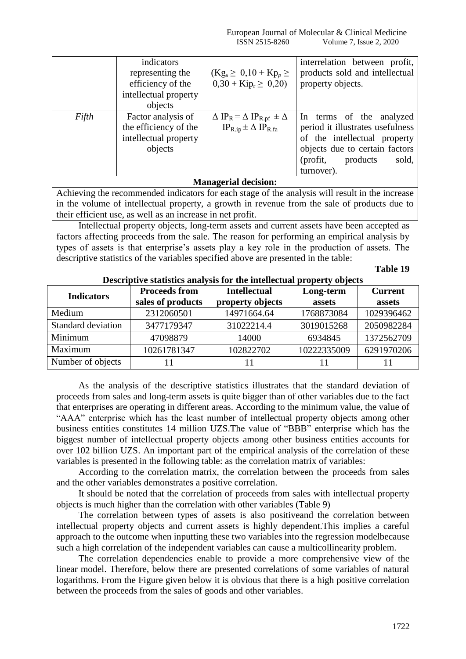|       | indicators            |                                                                     | interrelation between profit,    |
|-------|-----------------------|---------------------------------------------------------------------|----------------------------------|
|       | representing the      | $(Kg_s \ge 0, 10 + Kp_p \ge$                                        | products sold and intellectual   |
|       | efficiency of the     | $0,30 + Kip_r \geq 0,20$                                            | property objects.                |
|       | intellectual property |                                                                     |                                  |
|       | objects               |                                                                     |                                  |
| Fifth | Factor analysis of    | $\Delta$ IP <sub>R</sub> = $\Delta$ IP <sub>R.pf</sub> $\pm \Delta$ | In terms of the analyzed         |
|       | the efficiency of the | $IP_{R,ip} \pm \Delta IP_{R,fa}$                                    | period it illustrates usefulness |
|       | intellectual property |                                                                     | of the intellectual property     |
|       | objects               |                                                                     | objects due to certain factors   |
|       |                       |                                                                     | (profit,<br>products<br>sold,    |
|       |                       |                                                                     | turnover).                       |
|       |                       | <b>Managerial decision:</b>                                         |                                  |

Achieving the recommended indicators for each stage of the analysis will result in the increase in the volume of intellectual property, a growth in revenue from the sale of products due to their efficient use, as well as an increase in net profit.

Intellectual property objects, long-term assets and current assets have been accepted as factors affecting proceeds from the sale. The reason for performing an empirical analysis by types of assets is that enterprise's assets play a key role in the production of assets. The descriptive statistics of the variables specified above are presented in the table:

**Table 19**

| <b>Indicators</b>  | <b>Proceeds from</b> | <b>Intellectual</b> | Long-term   | <b>Current</b> |
|--------------------|----------------------|---------------------|-------------|----------------|
|                    | sales of products    | property objects    | assets      | assets         |
| Medium             | 2312060501           | 14971664.64         | 1768873084  | 1029396462     |
| Standard deviation | 3477179347           | 31022214.4          | 3019015268  | 2050982284     |
| Minimum            | 47098879             | 14000               | 6934845     | 1372562709     |
| Maximum            | 10261781347          | 102822702           | 10222335009 | 6291970206     |
| Number of objects  |                      |                     |             |                |

## **Descriptive statistics analysis for the intellectual property objects**

As the analysis of the descriptive statistics illustrates that the standard deviation of proceeds from sales and long-term assets is quite bigger than of other variables due to the fact that enterprises are operating in different areas. According to the minimum value, the value of "AAA" enterprise which has the least number of intellectual property objects among other business entities constitutes 14 million UZS.The value of "BBB" enterprise which has the biggest number of intellectual property objects among other business entities accounts for over 102 billion UZS. An important part of the empirical analysis of the correlation of these variables is presented in the following table: as the correlation matrix of variables:

According to the correlation matrix, the correlation between the proceeds from sales and the other variables demonstrates a positive correlation.

It should be noted that the correlation of proceeds from sales with intellectual property objects is much higher than the correlation with other variables (Table 9)

The correlation between types of assets is also positiveand the correlation between intellectual property objects and current assets is highly dependent.This implies a careful approach to the outcome when inputting these two variables into the regression modelbecause such a high correlation of the independent variables can cause a multicollinearity problem.

The correlation dependencies enable to provide a more comprehensive view of the linear model. Therefore, below there are presented correlations of some variables of natural logarithms. From the Figure given below it is obvious that there is a high positive correlation between the proceeds from the sales of goods and other variables.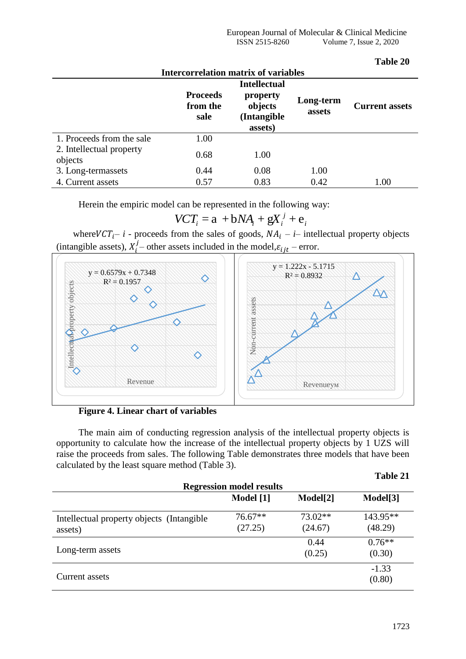**Table 20**

|                                     | <b>Intercorrelation matrix of variables</b> |                                               |                     |                       |
|-------------------------------------|---------------------------------------------|-----------------------------------------------|---------------------|-----------------------|
|                                     |                                             | <b>Intellectual</b>                           |                     |                       |
|                                     | <b>Proceeds</b><br>from the<br>sale         | property<br>objects<br>(Intangible<br>assets) | Long-term<br>assets | <b>Current assets</b> |
| 1. Proceeds from the sale           | 1.00                                        |                                               |                     |                       |
| 2. Intellectual property<br>objects | 0.68                                        | 1.00                                          |                     |                       |
| 3. Long-termassets                  | 0.44                                        | 0.08                                          | 1.00                |                       |
| 4. Current assets                   | 0.57                                        | 0.83                                          | 0.42                | 1.00                  |

Herein the empiric model can be represented in the following way:<br> $VCT_i = a + bNA_i + gX_i^j + e_i$ 

$$
VCT_i = a + bNA_i + gX_i^j + e_i
$$

where  $VCT_i - i$  - proceeds from the sales of goods,  $NA_i - i$  intellectual property objects (intangible assets),  $X_i^j$  – other assets included in the model,  $\varepsilon_{i j t}$  – error.

![](_page_22_Figure_5.jpeg)

**Figure 4. Linear chart of variables** 

The main aim of conducting regression analysis of the intellectual property objects is opportunity to calculate how the increase of the intellectual property objects by 1 UZS will raise the proceeds from sales. The following Table demonstrates three models that have been calculated by the least square method (Table 3).

|                                                       | <b>Regression model results</b> |                      |                     |
|-------------------------------------------------------|---------------------------------|----------------------|---------------------|
|                                                       | Model [1]                       | Model[2]             | Model[3]            |
| Intellectual property objects (Intangible)<br>assets) | $76.67**$<br>(27.25)            | $73.02**$<br>(24.67) | 143.95**<br>(48.29) |
| Long-term assets                                      |                                 | 0.44<br>(0.25)       | $0.76**$<br>(0.30)  |
| Current assets                                        |                                 |                      | $-1.33$<br>(0.80)   |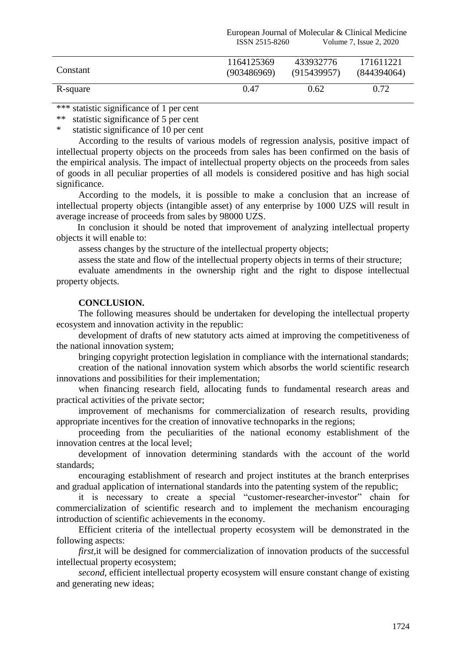|          | European Journal of Molecular & Clinical Medicine<br>Volume 7, Issue 2, 2020<br>ISSN 2515-8260 |             |             |  |
|----------|------------------------------------------------------------------------------------------------|-------------|-------------|--|
| Constant | 1164125369                                                                                     | 433932776   | 171611221   |  |
|          | (903486969)                                                                                    | (915439957) | (844394064) |  |
| R-square | 0.47                                                                                           | 0.62        | 0.72        |  |

\*\*\* statistic significance of 1 per cent<br>\*\* statistic significance of 5 per cent

statistic significance of 5 per cent

\* statistic significance of 10 per cent

According to the results of various models of regression analysis, positive impact of intellectual property objects on the proceeds from sales has been confirmed on the basis of the empirical analysis. The impact of intellectual property objects on the proceeds from sales of goods in all peculiar properties of all models is considered positive and has high social significance.

According to the models, it is possible to make a conclusion that an increase of intellectual property objects (intangible asset) of any enterprise by 1000 UZS will result in average increase of proceeds from sales by 98000 UZS.

In conclusion it should be noted that improvement of analyzing intellectual property objects it will enable to:

assess changes by the structure of the intellectual property objects;

assess the state and flow of the intellectual property objects in terms of their structure;

evaluate amendments in the ownership right and the right to dispose intellectual property objects.

## **CONCLUSION.**

The following measures should be undertaken for developing the intellectual property ecosystem and innovation activity in the republic:

development of drafts of new statutory acts aimed at improving the competitiveness of the national innovation system;

bringing copyright protection legislation in compliance with the international standards;

creation of the national innovation system which absorbs the world scientific research innovations and possibilities for their implementation;

when financing research field, allocating funds to fundamental research areas and practical activities of the private sector;

improvement of mechanisms for commercialization of research results, providing appropriate incentives for the creation of innovative technoparks in the regions;

proceeding from the peculiarities of the national economy establishment of the innovation centres at the local level;

development of innovation determining standards with the account of the world standards;

encouraging establishment of research and project institutes at the branch enterprises and gradual application of international standards into the patenting system of the republic;

it is necessary to create a special "customer-researcher-investor" chain for commercialization of scientific research and to implement the mechanism encouraging introduction of scientific achievements in the economy.

Efficient criteria of the intellectual property ecosystem will be demonstrated in the following aspects:

*first,*it will be designed for commercialization of innovation products of the successful intellectual property ecosystem;

*second,* efficient intellectual property ecosystem will ensure constant change of existing and generating new ideas;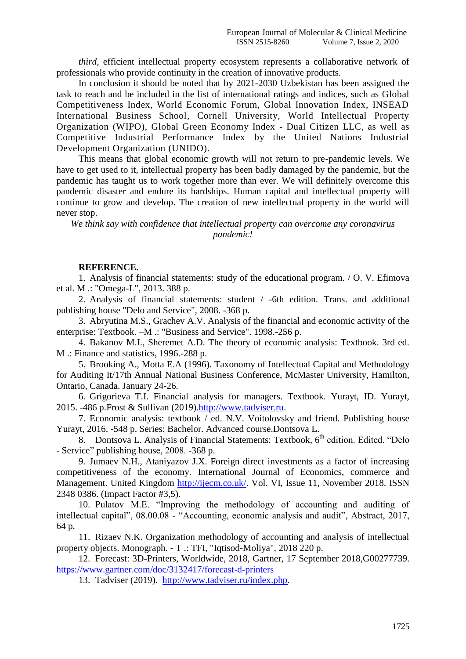*third,* efficient intellectual property ecosystem represents a collaborative network of professionals who provide continuity in the creation of innovative products.

In conclusion it should be noted that by 2021-2030 Uzbekistan has been assigned the task to reach and be included in the list of international ratings and indices, such as Global Competitiveness Index, World Economic Forum, Global Innovation Index, INSEAD International Business School, Cornell University, World Intellectual Property Organization (WIPO), Global Green Economy Index - Dual Citizen LLC, as well as Competitive Industrial Performance Index by the United Nations Industrial Development Organization (UNIDO).

This means that global economic growth will not return to pre-pandemic levels. We have to get used to it, intellectual property has been badly damaged by the pandemic, but the pandemic has taught us to work together more than ever. We will definitely overcome this pandemic disaster and endure its hardships. Human capital and intellectual property will continue to grow and develop. The creation of new intellectual property in the world will never stop.

*We think say with confidence that intellectual property can overcome any coronavirus pandemic!*

#### **REFERENCE.**

1. Analysis of financial statements: study of the educational program. / O. V. Efimova et al. M .: "Omega-L", 2013. 388 p.

2. Analysis of financial statements: student / -6th edition. Trans. and additional publishing house "Delo and Service", 2008. -368 p.

3. Abryutina M.S., Grachev A.V. Analysis of the financial and economic activity of the enterprise: Textbook. –M .: "Business and Service". 1998.-256 p.

4. Bakanov M.I., Sheremet A.D. The theory of economic analysis: Textbook. 3rd ed. M .: Finance and statistics, 1996.-288 p.

5. Brooking A., Motta E.A (1996). Taxonomy of Intellectual Capital and Methodology for Auditing It/17th Annual National Business Conference, McMaster University, Hamilton, Ontario, Canada. January 24-26.

6. Grigorieva T.I. Financial analysis for managers. Textbook. Yurayt, ID. Yurayt, 2015. -486 p[.Frost & Sullivan](http://www.tadviser.ru/index.php/%D0%9A%D0%BE%D0%BC%D0%BF%D0%B0%D0%BD%D0%B8%D1%8F:Frost_%26_Sullivan) (2019)[.http://www.tadviser.ru.](http://www.tadviser.ru/)

7. Economic analysis: textbook / ed. N.V. Voitolovsky and friend. Publishing house Yurayt, 2016. -548 p. Series: Bachelor. Advanced course.Dontsova L.

8. Dontsova L. Analysis of Financial Statements: Textbook,  $6<sup>th</sup>$  edition. Edited. "Delo - Service" publishing house, 2008. -368 p.

9. Jumaev N.H., Ataniyazov J.X. Foreign direct investments as a factor of increasing competitiveness of the economy. International Journal of Economics, commerce and Management. United Kingdom [http://ijecm.co.uk/.](http://ijecm.co.uk/) Vol. VI, Issue 11, November 2018. ISSN 2348 0386. (Impact Factor #3,5).

10. Pulatov M.E. "Improving the methodology of accounting and auditing of intellectual capital", 08.00.08 - "Accounting, economic analysis and audit", Abstract, 2017, 64 p.

11. Rizaev N.K. Organization methodology of accounting and analysis of intellectual property objects. Monograph. - T .: TFI, "Iqtisod-Moliya", 2018 220 p.

12. Forecast: 3D-Printers, Worldwide, 2018, Gartner, 17 September 2018,G00277739. <https://www.gartner.com/doc/3132417/forecast-d-printers>

13. Tadviser (2019). [http://www.tadviser.ru/index.php.](http://www.tadviser.ru/index.php)